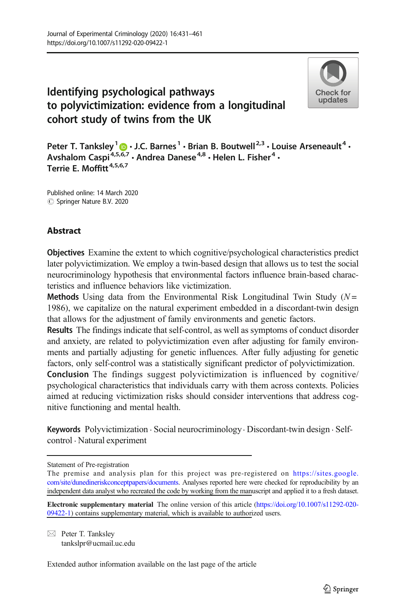# Identifying psychological pathways to polyvictimization: evidence from a longitudinal cohort study of twins from the UK



Peter T. Tanksley<sup>1</sup>  $\cdot$  J.C. Barnes<sup>1</sup>  $\cdot$  Brian B. Boutwell<sup>2,3</sup>  $\cdot$  Louise Arseneault<sup>4</sup>  $\cdot$ Avshalom Caspi<sup>4,[5,6,7](http://orcid.org/0000-0002-3449-2838)</sup>  $\cdot$  Andrea Danese<sup>4,8</sup>  $\cdot$  Helen L. Fisher<sup>4</sup>  $\cdot$ Terrie E. Moffitt<sup>4,5,6,7</sup>

 $\circledcirc$  Springer Nature B.V. 2020 Published online: 14 March 2020

# **Abstract**

Objectives Examine the extent to which cognitive/psychological characteristics predict later polyvictimization. We employ a twin-based design that allows us to test the social neurocriminology hypothesis that environmental factors influence brain-based characteristics and influence behaviors like victimization.

Methods Using data from the Environmental Risk Longitudinal Twin Study ( $N =$ 1986), we capitalize on the natural experiment embedded in a discordant-twin design that allows for the adjustment of family environments and genetic factors.

Results The findings indicate that self-control, as well as symptoms of conduct disorder and anxiety, are related to polyvictimization even after adjusting for family environments and partially adjusting for genetic influences. After fully adjusting for genetic factors, only self-control was a statistically significant predictor of polyvictimization.

Conclusion The findings suggest polyvictimization is influenced by cognitive/ psychological characteristics that individuals carry with them across contexts. Policies aimed at reducing victimization risks should consider interventions that address cognitive functioning and mental health.

Keywords Polyvictimization . Social neurocriminology. Discordant-twin design . Selfcontrol . Natural experiment

Statement of Pre-registration

Electronic supplementary material The online version of this article ([https://doi.org/10.1007/s11292-020-](https://doi.org/10.1007/s11292-020-09422-1) [09422-1\)](https://doi.org/10.1007/s11292-020-09422-1) contains supplementary material, which is available to authorized users.

 $\boxtimes$  Peter T. Tanksley [tankslpr@ucmail.uc.edu](mailto:tankslpr@ucmail.uc.edu)

Extended author information available on the last page of the article

The premise and analysis plan for this project was pre-registered on [https://sites.google.](https://sites.google.com/site/dunedineriskconceptpapers/documents) [com/site/dunedineriskconceptpapers/documents](https://sites.google.com/site/dunedineriskconceptpapers/documents). Analyses reported here were checked for reproducibility by an independent data analyst who recreated the code by working from the manuscript and applied it to a fresh dataset.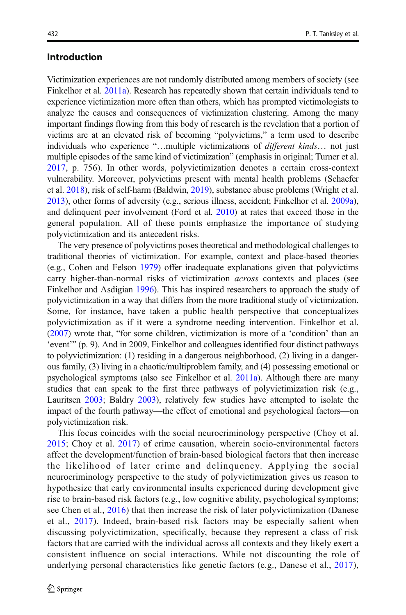# Introduction

Victimization experiences are not randomly distributed among members of society (see Finkelhor et al. [2011a\)](#page-26-0). Research has repeatedly shown that certain individuals tend to experience victimization more often than others, which has prompted victimologists to analyze the causes and consequences of victimization clustering. Among the many important findings flowing from this body of research is the revelation that a portion of victims are at an elevated risk of becoming "polyvictims," a term used to describe individuals who experience "...multiple victimizations of *different kinds*... not just multiple episodes of the same kind of victimization" (emphasis in original; Turner et al. [2017](#page-28-0), p. 756). In other words, polyvictimization denotes a certain cross-context vulnerability. Moreover, polyvictims present with mental health problems (Schaefer et al. [2018\)](#page-28-0), risk of self-harm (Baldwin, [2019](#page-25-0)), substance abuse problems (Wright et al. [2013\)](#page-28-0), other forms of adversity (e.g., serious illness, accident; Finkelhor et al. [2009a\)](#page-26-0), and delinquent peer involvement (Ford et al. [2010\)](#page-26-0) at rates that exceed those in the general population. All of these points emphasize the importance of studying polyvictimization and its antecedent risks.

The very presence of polyvictims poses theoretical and methodological challenges to traditional theories of victimization. For example, context and place-based theories (e.g., Cohen and Felson [1979](#page-26-0)) offer inadequate explanations given that polyvictims carry higher-than-normal risks of victimization *across* contexts and places (see Finkelhor and Asdigian [1996\)](#page-26-0). This has inspired researchers to approach the study of polyvictimization in a way that differs from the more traditional study of victimization. Some, for instance, have taken a public health perspective that conceptualizes polyvictimization as if it were a syndrome needing intervention. Finkelhor et al. [\(2007\)](#page-26-0) wrote that, "for some children, victimization is more of a 'condition' than an 'event'" (p. 9). And in 2009, Finkelhor and colleagues identified four distinct pathways to polyvictimization: (1) residing in a dangerous neighborhood, (2) living in a dangerous family, (3) living in a chaotic/multiproblem family, and (4) possessing emotional or psychological symptoms (also see Finkelhor et al. [2011a\)](#page-26-0). Although there are many studies that can speak to the first three pathways of polyvictimization risk (e.g., Lauritsen [2003](#page-27-0); Baldry [2003\)](#page-25-0), relatively few studies have attempted to isolate the impact of the fourth pathway—the effect of emotional and psychological factors—on polyvictimization risk.

This focus coincides with the social neurocriminology perspective (Choy et al. [2015](#page-25-0); Choy et al. [2017](#page-25-0)) of crime causation, wherein socio-environmental factors affect the development/function of brain-based biological factors that then increase the likelihood of later crime and delinquency. Applying the social neurocriminology perspective to the study of polyvictimization gives us reason to hypothesize that early environmental insults experienced during development give rise to brain-based risk factors (e.g., low cognitive ability, psychological symptoms; see Chen et al., [2016](#page-25-0)) that then increase the risk of later polyvictimization (Danese et al., [2017](#page-26-0)). Indeed, brain-based risk factors may be especially salient when discussing polyvictimization, specifically, because they represent a class of risk factors that are carried with the individual across all contexts and they likely exert a consistent influence on social interactions. While not discounting the role of underlying personal characteristics like genetic factors (e.g., Danese et al., [2017\)](#page-26-0),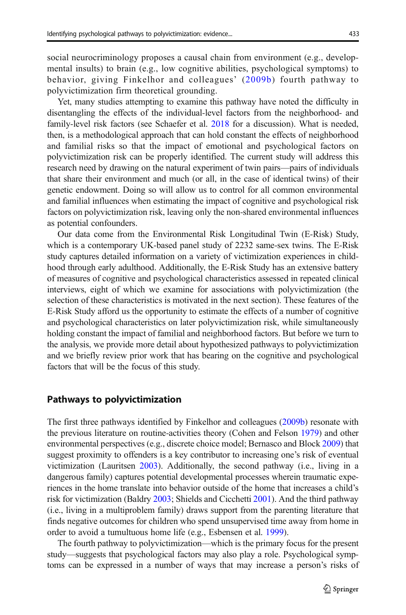social neurocriminology proposes a causal chain from environment (e.g., developmental insults) to brain (e.g., low cognitive abilities, psychological symptoms) to behavior, giving Finkelhor and colleagues' ([2009b](#page-26-0)) fourth pathway to polyvictimization firm theoretical grounding.

Yet, many studies attempting to examine this pathway have noted the difficulty in disentangling the effects of the individual-level factors from the neighborhood- and family-level risk factors (see Schaefer et al. [2018](#page-28-0) for a discussion). What is needed, then, is a methodological approach that can hold constant the effects of neighborhood and familial risks so that the impact of emotional and psychological factors on polyvictimization risk can be properly identified. The current study will address this research need by drawing on the natural experiment of twin pairs—pairs of individuals that share their environment and much (or all, in the case of identical twins) of their genetic endowment. Doing so will allow us to control for all common environmental and familial influences when estimating the impact of cognitive and psychological risk factors on polyvictimization risk, leaving only the non-shared environmental influences as potential confounders.

Our data come from the Environmental Risk Longitudinal Twin (E-Risk) Study, which is a contemporary UK-based panel study of 2232 same-sex twins. The E-Risk study captures detailed information on a variety of victimization experiences in childhood through early adulthood. Additionally, the E-Risk Study has an extensive battery of measures of cognitive and psychological characteristics assessed in repeated clinical interviews, eight of which we examine for associations with polyvictimization (the selection of these characteristics is motivated in the next section). These features of the E-Risk Study afford us the opportunity to estimate the effects of a number of cognitive and psychological characteristics on later polyvictimization risk, while simultaneously holding constant the impact of familial and neighborhood factors. But before we turn to the analysis, we provide more detail about hypothesized pathways to polyvictimization and we briefly review prior work that has bearing on the cognitive and psychological factors that will be the focus of this study.

#### Pathways to polyvictimization

The first three pathways identified by Finkelhor and colleagues ([2009b](#page-26-0)) resonate with the previous literature on routine-activities theory (Cohen and Felson [1979](#page-26-0)) and other environmental perspectives (e.g., discrete choice model; Bernasco and Block [2009\)](#page-25-0) that suggest proximity to offenders is a key contributor to increasing one's risk of eventual victimization (Lauritsen [2003\)](#page-27-0). Additionally, the second pathway (i.e., living in a dangerous family) captures potential developmental processes wherein traumatic experiences in the home translate into behavior outside of the home that increases a child's risk for victimization (Baldry [2003](#page-25-0); Shields and Cicchetti [2001\)](#page-28-0). And the third pathway (i.e., living in a multiproblem family) draws support from the parenting literature that finds negative outcomes for children who spend unsupervised time away from home in order to avoid a tumultuous home life (e.g., Esbensen et al. [1999](#page-26-0)).

The fourth pathway to polyvictimization—which is the primary focus for the present study—suggests that psychological factors may also play a role. Psychological symptoms can be expressed in a number of ways that may increase a person's risks of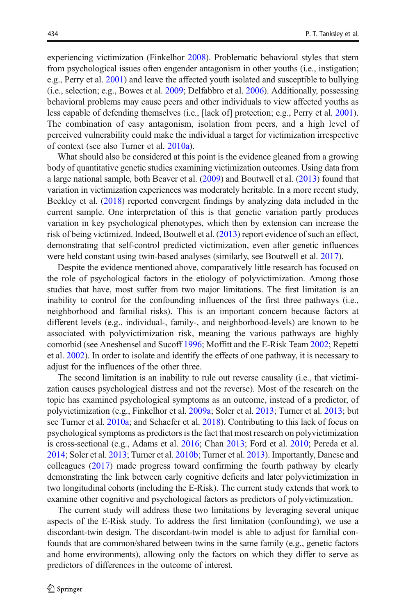experiencing victimization (Finkelhor [2008\)](#page-26-0). Problematic behavioral styles that stem from psychological issues often engender antagonism in other youths (i.e., instigation; e.g., Perry et al. [2001](#page-27-0)) and leave the affected youth isolated and susceptible to bullying (i.e., selection; e.g., Bowes et al. [2009](#page-25-0); Delfabbro et al. [2006\)](#page-26-0). Additionally, possessing behavioral problems may cause peers and other individuals to view affected youths as less capable of defending themselves (i.e., [lack of] protection; e.g., Perry et al. [2001\)](#page-27-0). The combination of easy antagonism, isolation from peers, and a high level of perceived vulnerability could make the individual a target for victimization irrespective of context (see also Turner et al. [2010a](#page-28-0)).

What should also be considered at this point is the evidence gleaned from a growing body of quantitative genetic studies examining victimization outcomes. Using data from a large national sample, both Beaver et al. [\(2009\)](#page-25-0) and Boutwell et al. [\(2013\)](#page-25-0) found that variation in victimization experiences was moderately heritable. In a more recent study, Beckley et al. [\(2018\)](#page-25-0) reported convergent findings by analyzing data included in the current sample. One interpretation of this is that genetic variation partly produces variation in key psychological phenotypes, which then by extension can increase the risk of being victimized. Indeed, Boutwell et al. [\(2013\)](#page-25-0) report evidence of such an effect, demonstrating that self-control predicted victimization, even after genetic influences were held constant using twin-based analyses (similarly, see Boutwell et al. [2017\)](#page-25-0).

Despite the evidence mentioned above, comparatively little research has focused on the role of psychological factors in the etiology of polyvictimization. Among those studies that have, most suffer from two major limitations. The first limitation is an inability to control for the confounding influences of the first three pathways (i.e., neighborhood and familial risks). This is an important concern because factors at different levels (e.g., individual-, family-, and neighborhood-levels) are known to be associated with polyvictimization risk, meaning the various pathways are highly comorbid (see Aneshensel and Sucoff [1996](#page-25-0); Moffitt and the E-Risk Team [2002;](#page-27-0) Repetti et al. [2002\)](#page-28-0). In order to isolate and identify the effects of one pathway, it is necessary to adjust for the influences of the other three.

The second limitation is an inability to rule out reverse causality (i.e., that victimization causes psychological distress and not the reverse). Most of the research on the topic has examined psychological symptoms as an outcome, instead of a predictor, of polyvictimization (e.g., Finkelhor et al. [2009a](#page-26-0); Soler et al. [2013;](#page-28-0) Turner et al. [2013;](#page-28-0) but see Turner et al. [2010a;](#page-28-0) and Schaefer et al. [2018\)](#page-28-0). Contributing to this lack of focus on psychological symptoms as predictors is the fact that most research on polyvictimization is cross-sectional (e.g., Adams et al. [2016;](#page-24-0) Chan [2013;](#page-25-0) Ford et al. [2010;](#page-26-0) Pereda et al. [2014;](#page-27-0) Soler et al. [2013](#page-28-0); Turner et al. [2010b;](#page-28-0) Turner et al. [2013\)](#page-28-0). Importantly, Danese and colleagues [\(2017\)](#page-26-0) made progress toward confirming the fourth pathway by clearly demonstrating the link between early cognitive deficits and later polyvictimization in two longitudinal cohorts (including the E-Risk). The current study extends that work to examine other cognitive and psychological factors as predictors of polyvictimization.

The current study will address these two limitations by leveraging several unique aspects of the E-Risk study. To address the first limitation (confounding), we use a discordant-twin design. The discordant-twin model is able to adjust for familial confounds that are common/shared between twins in the same family (e.g., genetic factors and home environments), allowing only the factors on which they differ to serve as predictors of differences in the outcome of interest.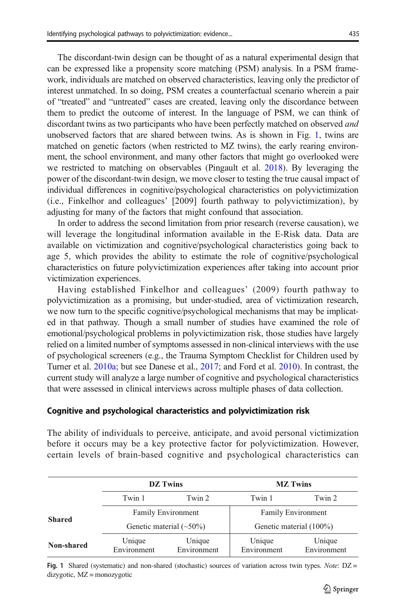The discordant-twin design can be thought of as a natural experimental design that can be expressed like a propensity score matching (PSM) analysis. In a PSM framework, individuals are matched on observed characteristics, leaving only the predictor of interest unmatched. In so doing, PSM creates a counterfactual scenario wherein a pair of "treated" and "untreated" cases are created, leaving only the discordance between them to predict the outcome of interest. In the language of PSM, we can think of discordant twins as two participants who have been perfectly matched on observed and unobserved factors that are shared between twins. As is shown in Fig. 1, twins are matched on genetic factors (when restricted to MZ twins), the early rearing environment, the school environment, and many other factors that might go overlooked were we restricted to matching on observables (Pingault et al. [2018](#page-27-0)). By leveraging the power of the discordant-twin design, we move closer to testing the true causal impact of individual differences in cognitive/psychological characteristics on polyvictimization (i.e., Finkelhor and colleagues' [2009] fourth pathway to polyvictimization), by adjusting for many of the factors that might confound that association.

In order to address the second limitation from prior research (reverse causation), we will leverage the longitudinal information available in the E-Risk data. Data are available on victimization and cognitive/psychological characteristics going back to age 5, which provides the ability to estimate the role of cognitive/psychological characteristics on future polyvictimization experiences after taking into account prior victimization experiences.

Having established Finkelhor and colleagues' (2009) fourth pathway to polyvictimization as a promising, but under-studied, area of victimization research, we now turn to the specific cognitive/psychological mechanisms that may be implicated in that pathway. Though a small number of studies have examined the role of emotional/psychological problems in polyvictimization risk, those studies have largely relied on a limited number of symptoms assessed in non-clinical interviews with the use of psychological screeners (e.g., the Trauma Symptom Checklist for Children used by Turner et al. [2010a;](#page-28-0) but see Danese et al., [2017;](#page-26-0) and Ford et al. [2010\)](#page-26-0). In contrast, the current study will analyze a large number of cognitive and psychological characteristics that were assessed in clinical interviews across multiple phases of data collection.

#### Cognitive and psychological characteristics and polyvictimization risk

The ability of individuals to perceive, anticipate, and avoid personal victimization before it occurs may be a key protective factor for polyvictimization. However, certain levels of brain-based cognitive and psychological characteristics can

|               |                       | <b>DZ</b> Twins                | <b>MZ Twins</b>         |                       |  |  |
|---------------|-----------------------|--------------------------------|-------------------------|-----------------------|--|--|
|               | Twin 1                | Twin 2                         | Twin 1                  | Twin 2                |  |  |
| <b>Shared</b> |                       | Family Environment             | Family Environment      |                       |  |  |
|               |                       | Genetic material $(\sim 50\%)$ | Genetic material (100%) |                       |  |  |
| Non-shared    | Unique<br>Environment | Unique<br>Environment          | Unique<br>Environment   | Unique<br>Environment |  |  |

Fig. 1 Shared (systematic) and non-shared (stochastic) sources of variation across twin types. Note: DZ = dizygotic, MZ = monozygotic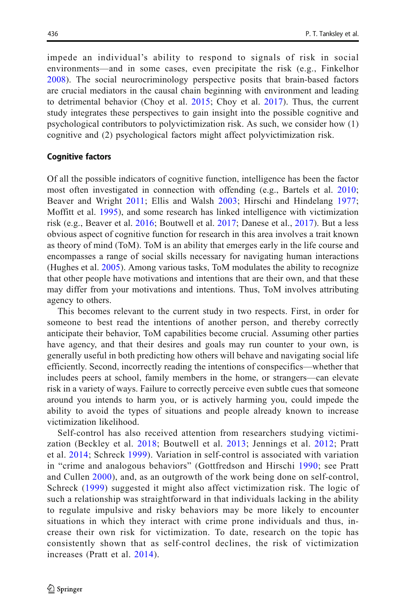impede an individual's ability to respond to signals of risk in social environments—and in some cases, even precipitate the risk (e.g., Finkelhor [2008](#page-26-0)). The social neurocriminology perspective posits that brain-based factors are crucial mediators in the causal chain beginning with environment and leading to detrimental behavior (Choy et al. [2015;](#page-25-0) Choy et al. [2017](#page-25-0)). Thus, the current study integrates these perspectives to gain insight into the possible cognitive and psychological contributors to polyvictimization risk. As such, we consider how (1) cognitive and (2) psychological factors might affect polyvictimization risk.

#### Cognitive factors

Of all the possible indicators of cognitive function, intelligence has been the factor most often investigated in connection with offending (e.g., Bartels et al. [2010;](#page-25-0) Beaver and Wright [2011;](#page-25-0) Ellis and Walsh [2003;](#page-26-0) Hirschi and Hindelang [1977;](#page-26-0) Moffitt et al. [1995\)](#page-27-0), and some research has linked intelligence with victimization risk (e.g., Beaver et al. [2016](#page-25-0); Boutwell et al. [2017;](#page-25-0) Danese et al., [2017\)](#page-26-0). But a less obvious aspect of cognitive function for research in this area involves a trait known as theory of mind (ToM). ToM is an ability that emerges early in the life course and encompasses a range of social skills necessary for navigating human interactions (Hughes et al. [2005](#page-26-0)). Among various tasks, ToM modulates the ability to recognize that other people have motivations and intentions that are their own, and that these may differ from your motivations and intentions. Thus, ToM involves attributing agency to others.

This becomes relevant to the current study in two respects. First, in order for someone to best read the intentions of another person, and thereby correctly anticipate their behavior, ToM capabilities become crucial. Assuming other parties have agency, and that their desires and goals may run counter to your own, is generally useful in both predicting how others will behave and navigating social life efficiently. Second, incorrectly reading the intentions of conspecifics—whether that includes peers at school, family members in the home, or strangers—can elevate risk in a variety of ways. Failure to correctly perceive even subtle cues that someone around you intends to harm you, or is actively harming you, could impede the ability to avoid the types of situations and people already known to increase victimization likelihood.

Self-control has also received attention from researchers studying victimization (Beckley et al. [2018;](#page-25-0) Boutwell et al. [2013;](#page-25-0) Jennings et al. [2012;](#page-26-0) Pratt et al. [2014;](#page-27-0) Schreck [1999\)](#page-28-0). Variation in self-control is associated with variation in "crime and analogous behaviors" (Gottfredson and Hirschi [1990](#page-26-0); see Pratt and Cullen [2000](#page-27-0)), and, as an outgrowth of the work being done on self-control, Schreck ([1999](#page-28-0)) suggested it might also affect victimization risk. The logic of such a relationship was straightforward in that individuals lacking in the ability to regulate impulsive and risky behaviors may be more likely to encounter situations in which they interact with crime prone individuals and thus, increase their own risk for victimization. To date, research on the topic has consistently shown that as self-control declines, the risk of victimization increases (Pratt et al. [2014\)](#page-27-0).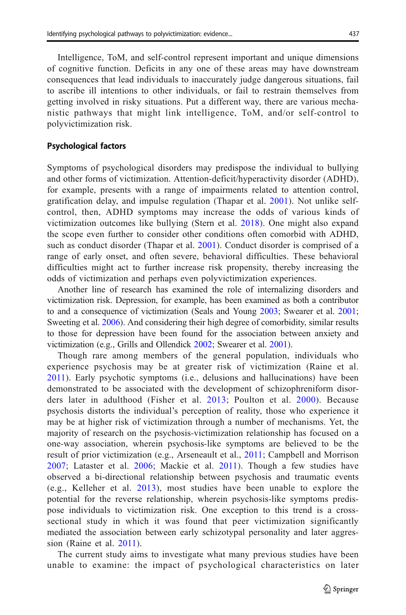Intelligence, ToM, and self-control represent important and unique dimensions of cognitive function. Deficits in any one of these areas may have downstream consequences that lead individuals to inaccurately judge dangerous situations, fail to ascribe ill intentions to other individuals, or fail to restrain themselves from getting involved in risky situations. Put a different way, there are various mechanistic pathways that might link intelligence, ToM, and/or self-control to polyvictimization risk.

#### Psychological factors

Symptoms of psychological disorders may predispose the individual to bullying and other forms of victimization. Attention-deficit/hyperactivity disorder (ADHD), for example, presents with a range of impairments related to attention control, gratification delay, and impulse regulation (Thapar et al. [2001](#page-28-0)). Not unlike selfcontrol, then, ADHD symptoms may increase the odds of various kinds of victimization outcomes like bullying (Stern et al. [2018](#page-28-0)). One might also expand the scope even further to consider other conditions often comorbid with ADHD, such as conduct disorder (Thapar et al. [2001\)](#page-28-0). Conduct disorder is comprised of a range of early onset, and often severe, behavioral difficulties. These behavioral difficulties might act to further increase risk propensity, thereby increasing the odds of victimization and perhaps even polyvictimization experiences.

Another line of research has examined the role of internalizing disorders and victimization risk. Depression, for example, has been examined as both a contributor to and a consequence of victimization (Seals and Young [2003](#page-28-0); Swearer et al. [2001;](#page-28-0) Sweeting et al. [2006\)](#page-28-0). And considering their high degree of comorbidity, similar results to those for depression have been found for the association between anxiety and victimization (e.g., Grills and Ollendick [2002;](#page-26-0) Swearer et al. [2001](#page-28-0)).

Though rare among members of the general population, individuals who experience psychosis may be at greater risk of victimization (Raine et al. [2011](#page-28-0)). Early psychotic symptoms (i.e., delusions and hallucinations) have been demonstrated to be associated with the development of schizophreniform disorders later in adulthood (Fisher et al. [2013](#page-26-0); Poulton et al. [2000](#page-27-0)). Because psychosis distorts the individual's perception of reality, those who experience it may be at higher risk of victimization through a number of mechanisms. Yet, the majority of research on the psychosis-victimization relationship has focused on a one-way association, wherein psychosis-like symptoms are believed to be the result of prior victimization (e.g., Arseneault et al., [2011;](#page-25-0) Campbell and Morrison [2007](#page-25-0); Lataster et al. [2006;](#page-27-0) Mackie et al. [2011](#page-27-0)). Though a few studies have observed a bi-directional relationship between psychosis and traumatic events (e.g., Kelleher et al. [2013](#page-26-0)), most studies have been unable to explore the potential for the reverse relationship, wherein psychosis-like symptoms predispose individuals to victimization risk. One exception to this trend is a crosssectional study in which it was found that peer victimization significantly mediated the association between early schizotypal personality and later aggression (Raine et al. [2011\)](#page-28-0).

The current study aims to investigate what many previous studies have been unable to examine: the impact of psychological characteristics on later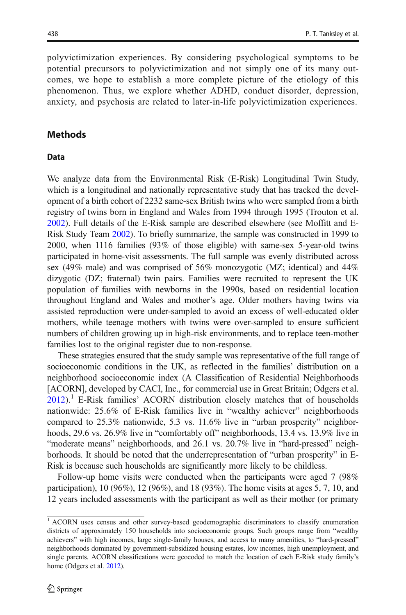polyvictimization experiences. By considering psychological symptoms to be potential precursors to polyvictimization and not simply one of its many outcomes, we hope to establish a more complete picture of the etiology of this phenomenon. Thus, we explore whether ADHD, conduct disorder, depression, anxiety, and psychosis are related to later-in-life polyvictimization experiences.

# **Methods**

#### Data

We analyze data from the Environmental Risk (E-Risk) Longitudinal Twin Study, which is a longitudinal and nationally representative study that has tracked the development of a birth cohort of 2232 same-sex British twins who were sampled from a birth registry of twins born in England and Wales from 1994 through 1995 (Trouton et al. [2002\)](#page-28-0). Full details of the E-Risk sample are described elsewhere (see Moffitt and E-Risk Study Team [2002\)](#page-27-0). To briefly summarize, the sample was constructed in 1999 to 2000, when 1116 families (93% of those eligible) with same-sex 5-year-old twins participated in home-visit assessments. The full sample was evenly distributed across sex (49% male) and was comprised of 56% monozygotic (MZ; identical) and 44% dizygotic (DZ; fraternal) twin pairs. Families were recruited to represent the UK population of families with newborns in the 1990s, based on residential location throughout England and Wales and mother's age. Older mothers having twins via assisted reproduction were under-sampled to avoid an excess of well-educated older mothers, while teenage mothers with twins were over-sampled to ensure sufficient numbers of children growing up in high-risk environments, and to replace teen-mother families lost to the original register due to non-response.

These strategies ensured that the study sample was representative of the full range of socioeconomic conditions in the UK, as reflected in the families' distribution on a neighborhood socioeconomic index (A Classification of Residential Neighborhoods [ACORN], developed by CACI, Inc., for commercial use in Great Britain; Odgers et al.  $2012$ ).<sup>1</sup> E-Risk families' ACORN distribution closely matches that of households nationwide: 25.6% of E-Risk families live in "wealthy achiever" neighborhoods compared to 25.3% nationwide, 5.3 vs. 11.6% live in "urban prosperity" neighborhoods, 29.6 vs. 26.9% live in "comfortably off" neighborhoods, 13.4 vs. 13.9% live in "moderate means" neighborhoods, and 26.1 vs. 20.7% live in "hard-pressed" neighborhoods. It should be noted that the underrepresentation of "urban prosperity" in E-Risk is because such households are significantly more likely to be childless.

Follow-up home visits were conducted when the participants were aged 7 (98% participation), 10 (96%), 12 (96%), and 18 (93%). The home visits at ages 5, 7, 10, and 12 years included assessments with the participant as well as their mother (or primary

<sup>&</sup>lt;sup>1</sup> ACORN uses census and other survey-based geodemographic discriminators to classify enumeration districts of approximately 150 households into socioeconomic groups. Such groups range from "wealthy achievers" with high incomes, large single-family houses, and access to many amenities, to "hard-pressed" neighborhoods dominated by government-subsidized housing estates, low incomes, high unemployment, and single parents. ACORN classifications were geocoded to match the location of each E-Risk study family's home (Odgers et al. [2012\)](#page-27-0).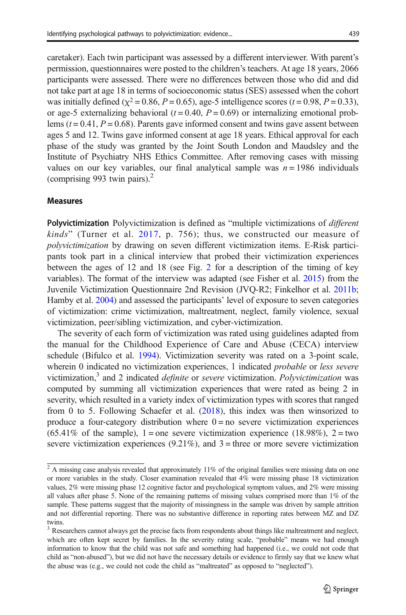caretaker). Each twin participant was assessed by a different interviewer. With parent's permission, questionnaires were posted to the children's teachers. At age 18 years, 2066 participants were assessed. There were no differences between those who did and did not take part at age 18 in terms of socioeconomic status (SES) assessed when the cohort was initially defined ( $\chi^2 = 0.86$ ,  $P = 0.65$ ), age-5 intelligence scores ( $t = 0.98$ ,  $P = 0.33$ ), or age-5 externalizing behavioral  $(t = 0.40, P = 0.69)$  or internalizing emotional problems ( $t = 0.41$ ,  $P = 0.68$ ). Parents gave informed consent and twins gave assent between ages 5 and 12. Twins gave informed consent at age 18 years. Ethical approval for each phase of the study was granted by the Joint South London and Maudsley and the Institute of Psychiatry NHS Ethics Committee. After removing cases with missing

values on our key variables, our final analytical sample was  $n = 1986$  individuals

### Measures

(comprising 993 twin pairs). $<sup>2</sup>$ </sup>

**Polyvictimization** Polyvictimization is defined as "multiple victimizations of *different kinds*" (Turner et al.  $2017$ , p. 756); thus, we constructed our measure of polyvictimization by drawing on seven different victimization items. E-Risk participants took part in a clinical interview that probed their victimization experiences between the ages of 12 and 18 (see Fig. [2](#page-9-0) for a description of the timing of key variables). The format of the interview was adapted (see Fisher et al. [2015](#page-26-0)) from the Juvenile Victimization Questionnaire 2nd Revision (JVQ-R2; Finkelhor et al. [2011b;](#page-26-0) Hamby et al. [2004](#page-26-0)) and assessed the participants' level of exposure to seven categories of victimization: crime victimization, maltreatment, neglect, family violence, sexual victimization, peer/sibling victimization, and cyber-victimization.

The severity of each form of victimization was rated using guidelines adapted from the manual for the Childhood Experience of Care and Abuse (CECA) interview schedule (Bifulco et al. [1994](#page-25-0)). Victimization severity was rated on a 3-point scale, wherein 0 indicated no victimization experiences, 1 indicated *probable* or *less severe* victimization, $3$  and 2 indicated *definite* or *severe* victimization. Polyvictimization was computed by summing all victimization experiences that were rated as being 2 in severity, which resulted in a variety index of victimization types with scores that ranged from 0 to 5. Following Schaefer et al. ([2018](#page-28-0)), this index was then winsorized to produce a four-category distribution where  $0 =$  no severe victimization experiences  $(65.41\% \text{ of the sample})$ , 1 = one severe victimization experience  $(18.98\%)$ , 2 = two severe victimization experiences  $(9.21\%)$ , and  $3$  = three or more severe victimization

 $2$  A missing case analysis revealed that approximately 11% of the original families were missing data on one or more variables in the study. Closer examination revealed that 4% were missing phase 18 victimization values, 2% were missing phase 12 cognitive factor and psychological symptom values, and 2% were missing all values after phase 5. None of the remaining patterns of missing values comprised more than 1% of the sample. These patterns suggest that the majority of missingness in the sample was driven by sample attrition and not differential reporting. There was no substantive difference in reporting rates between MZ and DZ twins.

<sup>&</sup>lt;sup>3</sup> Researchers cannot always get the precise facts from respondents about things like maltreatment and neglect, which are often kept secret by families. In the severity rating scale, "probable" means we had enough information to know that the child was not safe and something had happened (i.e., we could not code that child as "non-abused"), but we did not have the necessary details or evidence to firmly say that we knew what the abuse was (e.g., we could not code the child as "maltreated" as opposed to "neglected").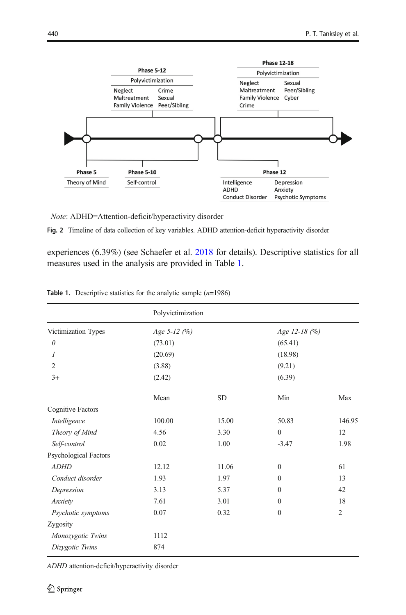<span id="page-9-0"></span>

*Note*: ADHD=Attention-deficit/hyperactivity disorder

Fig. 2 Timeline of data collection of key variables. ADHD attention-deficit hyperactivity disorder

experiences (6.39%) (see Schaefer et al. [2018](#page-28-0) for details). Descriptive statistics for all measures used in the analysis are provided in Table 1.

|                          | Polyvictimization |               |              |                |  |  |
|--------------------------|-------------------|---------------|--------------|----------------|--|--|
| Victimization Types      | Age 5-12 (%)      | Age 12-18 (%) |              |                |  |  |
| $\theta$                 | (73.01)           |               | (65.41)      |                |  |  |
| $\mathcal{I}$            | (20.69)           |               | (18.98)      |                |  |  |
| $\overline{2}$           | (3.88)            |               | (9.21)       |                |  |  |
| $3+$                     | (2.42)            |               | (6.39)       |                |  |  |
|                          | Mean              | <b>SD</b>     | Min          | Max            |  |  |
| <b>Cognitive Factors</b> |                   |               |              |                |  |  |
| Intelligence             | 100.00            | 15.00         | 50.83        | 146.95         |  |  |
| Theory of Mind           | 4.56              | 3.30          | $\mathbf{0}$ | 12             |  |  |
| Self-control             | 0.02              | 1.00          | $-3.47$      | 1.98           |  |  |
| Psychological Factors    |                   |               |              |                |  |  |
| <b>ADHD</b>              | 12.12             | 11.06         | $\Omega$     | 61             |  |  |
| Conduct disorder         | 1.93              | 1.97          | $\theta$     | 13             |  |  |
| Depression               | 3.13              | 5.37          | $\Omega$     | 42             |  |  |
| Anxiety                  | 7.61              | 3.01          | $\Omega$     | 18             |  |  |
| Psychotic symptoms       | 0.07              | 0.32          | $\theta$     | $\overline{2}$ |  |  |
| Zygosity                 |                   |               |              |                |  |  |
| Monozygotic Twins        | 1112              |               |              |                |  |  |
| Dizygotic Twins          | 874               |               |              |                |  |  |

**Table 1.** Descriptive statistics for the analytic sample  $(n=1986)$ 

ADHD attention-deficit/hyperactivity disorder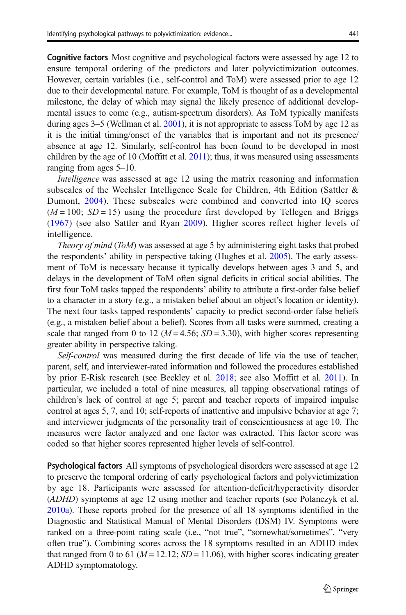Cognitive factors Most cognitive and psychological factors were assessed by age 12 to ensure temporal ordering of the predictors and later polyvictimization outcomes. However, certain variables (i.e., self-control and ToM) were assessed prior to age 12 due to their developmental nature. For example, ToM is thought of as a developmental milestone, the delay of which may signal the likely presence of additional developmental issues to come (e.g., autism-spectrum disorders). As ToM typically manifests during ages 3–5 (Wellman et al. [2001\)](#page-28-0), it is not appropriate to assess ToM by age 12 as it is the initial timing/onset of the variables that is important and not its presence/ absence at age 12. Similarly, self-control has been found to be developed in most children by the age of 10 (Moffitt et al.  $2011$ ); thus, it was measured using assessments ranging from ages 5–10.

Intelligence was assessed at age 12 using the matrix reasoning and information subscales of the Wechsler Intelligence Scale for Children, 4th Edition (Sattler & Dumont, [2004\)](#page-28-0). These subscales were combined and converted into IQ scores  $(M=100; SD=15)$  using the procedure first developed by Tellegen and Briggs [\(1967\)](#page-28-0) (see also Sattler and Ryan [2009](#page-28-0)). Higher scores reflect higher levels of intelligence.

Theory of mind (ToM) was assessed at age 5 by administering eight tasks that probed the respondents' ability in perspective taking (Hughes et al. [2005\)](#page-26-0). The early assessment of ToM is necessary because it typically develops between ages 3 and 5, and delays in the development of ToM often signal deficits in critical social abilities. The first four ToM tasks tapped the respondents' ability to attribute a first-order false belief to a character in a story (e.g., a mistaken belief about an object's location or identity). The next four tasks tapped respondents' capacity to predict second-order false beliefs (e.g., a mistaken belief about a belief). Scores from all tasks were summed, creating a scale that ranged from 0 to 12 ( $M = 4.56$ ;  $SD = 3.30$ ), with higher scores representing greater ability in perspective taking.

Self-control was measured during the first decade of life via the use of teacher, parent, self, and interviewer-rated information and followed the procedures established by prior E-Risk research (see Beckley et al. [2018](#page-25-0); see also Moffitt et al. [2011\)](#page-27-0). In particular, we included a total of nine measures, all tapping observational ratings of children's lack of control at age 5; parent and teacher reports of impaired impulse control at ages 5, 7, and 10; self-reports of inattentive and impulsive behavior at age 7; and interviewer judgments of the personality trait of conscientiousness at age 10. The measures were factor analyzed and one factor was extracted. This factor score was coded so that higher scores represented higher levels of self-control.

Psychological factors All symptoms of psychological disorders were assessed at age 12 to preserve the temporal ordering of early psychological factors and polyvictimization by age 18. Participants were assessed for attention-deficit/hyperactivity disorder (ADHD) symptoms at age 12 using mother and teacher reports (see Polanczyk et al. [2010a\)](#page-27-0). These reports probed for the presence of all 18 symptoms identified in the Diagnostic and Statistical Manual of Mental Disorders (DSM) IV. Symptoms were ranked on a three-point rating scale (i.e., "not true", "somewhat/sometimes", "very often true"). Combining scores across the 18 symptoms resulted in an ADHD index that ranged from 0 to 61 ( $M = 12.12$ ;  $SD = 11.06$ ), with higher scores indicating greater ADHD symptomatology.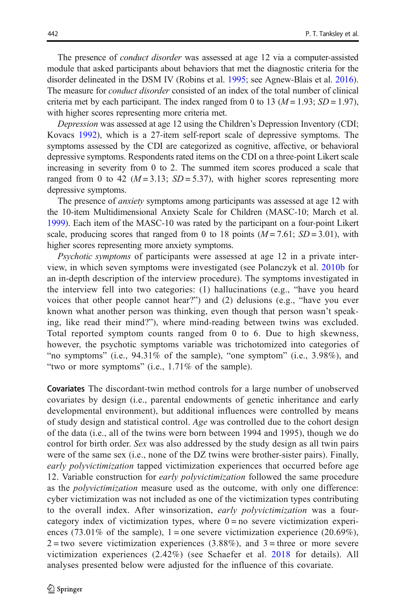The presence of conduct disorder was assessed at age 12 via a computer-assisted module that asked participants about behaviors that met the diagnostic criteria for the disorder delineated in the DSM IV (Robins et al. [1995](#page-28-0); see Agnew-Blais et al. [2016\)](#page-24-0). The measure for *conduct disorder* consisted of an index of the total number of clinical criteria met by each participant. The index ranged from 0 to 13 ( $M = 1.93$ ;  $SD = 1.97$ ), with higher scores representing more criteria met.

Depression was assessed at age 12 using the Children's Depression Inventory (CDI; Kovacs [1992\)](#page-26-0), which is a 27-item self-report scale of depressive symptoms. The symptoms assessed by the CDI are categorized as cognitive, affective, or behavioral depressive symptoms. Respondents rated items on the CDI on a three-point Likert scale increasing in severity from 0 to 2. The summed item scores produced a scale that ranged from 0 to 42 ( $M = 3.13$ ;  $SD = 5.37$ ), with higher scores representing more depressive symptoms.

The presence of *anxiety* symptoms among participants was assessed at age 12 with the 10-item Multidimensional Anxiety Scale for Children (MASC-10; March et al. [1999\)](#page-27-0). Each item of the MASC-10 was rated by the participant on a four-point Likert scale, producing scores that ranged from 0 to 18 points  $(M = 7.61; SD = 3.01)$ , with higher scores representing more anxiety symptoms.

Psychotic symptoms of participants were assessed at age 12 in a private interview, in which seven symptoms were investigated (see Polanczyk et al. [2010b](#page-27-0) for an in-depth description of the interview procedure). The symptoms investigated in the interview fell into two categories: (1) hallucinations (e.g., "have you heard voices that other people cannot hear?") and (2) delusions (e.g., "have you ever known what another person was thinking, even though that person wasn't speaking, like read their mind?"), where mind-reading between twins was excluded. Total reported symptom counts ranged from 0 to 6. Due to high skewness, however, the psychotic symptoms variable was trichotomized into categories of "no symptoms" (i.e., 94.31% of the sample), "one symptom" (i.e., 3.98%), and "two or more symptoms" (i.e., 1.71% of the sample).

Covariates The discordant-twin method controls for a large number of unobserved covariates by design (i.e., parental endowments of genetic inheritance and early developmental environment), but additional influences were controlled by means of study design and statistical control. Age was controlled due to the cohort design of the data (i.e., all of the twins were born between 1994 and 1995), though we do control for birth order. Sex was also addressed by the study design as all twin pairs were of the same sex (i.e., none of the DZ twins were brother-sister pairs). Finally, early polyvictimization tapped victimization experiences that occurred before age 12. Variable construction for early polyvictimization followed the same procedure as the polyvictimization measure used as the outcome, with only one difference: cyber victimization was not included as one of the victimization types contributing to the overall index. After winsorization, *early polyvictimization* was a fourcategory index of victimization types, where  $0 = no$  severe victimization experiences (73.01% of the sample), 1 = one severe victimization experience (20.69%),  $2 =$  two severe victimization experiences (3.88%), and  $3 =$  three or more severe victimization experiences (2.42%) (see Schaefer et al. [2018](#page-28-0) for details). All analyses presented below were adjusted for the influence of this covariate.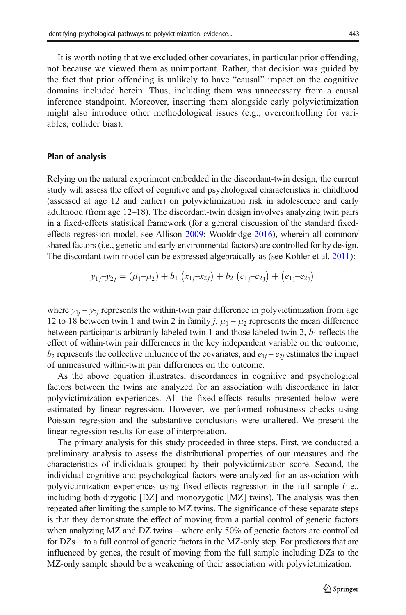It is worth noting that we excluded other covariates, in particular prior offending, not because we viewed them as unimportant. Rather, that decision was guided by the fact that prior offending is unlikely to have "causal" impact on the cognitive domains included herein. Thus, including them was unnecessary from a causal inference standpoint. Moreover, inserting them alongside early polyvictimization might also introduce other methodological issues (e.g., overcontrolling for variables, collider bias).

#### Plan of analysis

Relying on the natural experiment embedded in the discordant-twin design, the current study will assess the effect of cognitive and psychological characteristics in childhood (assessed at age 12 and earlier) on polyvictimization risk in adolescence and early adulthood (from age 12–18). The discordant-twin design involves analyzing twin pairs in a fixed-effects statistical framework (for a general discussion of the standard fixedeffects regression model, see Allison [2009](#page-24-0); Wooldridge [2016\)](#page-28-0), wherein all common/ shared factors (i.e., genetic and early environmental factors) are controlled for by design. The discordant-twin model can be expressed algebraically as (see Kohler et al. [2011](#page-26-0)):

$$
y_{1j}-y_{2j}=(\mu_1-\mu_2)+b_1(x_{1j}-x_{2j})+b_2(c_{1j}-c_{2j})+(e_{1j}-e_{2j})
$$

where  $y_{1i} - y_{2i}$  represents the within-twin pair difference in polyvictimization from age 12 to 18 between twin 1 and twin 2 in family j,  $\mu_1 - \mu_2$  represents the mean difference between participants arbitrarily labeled twin 1 and those labeled twin 2,  $b_1$  reflects the effect of within-twin pair differences in the key independent variable on the outcome,  $b_2$  represents the collective influence of the covariates, and  $e_1 - e_2$  estimates the impact of unmeasured within-twin pair differences on the outcome.

As the above equation illustrates, discordances in cognitive and psychological factors between the twins are analyzed for an association with discordance in later polyvictimization experiences. All the fixed-effects results presented below were estimated by linear regression. However, we performed robustness checks using Poisson regression and the substantive conclusions were unaltered. We present the linear regression results for ease of interpretation.

The primary analysis for this study proceeded in three steps. First, we conducted a preliminary analysis to assess the distributional properties of our measures and the characteristics of individuals grouped by their polyvictimization score. Second, the individual cognitive and psychological factors were analyzed for an association with polyvictimization experiences using fixed-effects regression in the full sample (i.e., including both dizygotic [DZ] and monozygotic [MZ] twins). The analysis was then repeated after limiting the sample to MZ twins. The significance of these separate steps is that they demonstrate the effect of moving from a partial control of genetic factors when analyzing MZ and DZ twins—where only 50% of genetic factors are controlled for DZs—to a full control of genetic factors in the MZ-only step. For predictors that are influenced by genes, the result of moving from the full sample including DZs to the MZ-only sample should be a weakening of their association with polyvictimization.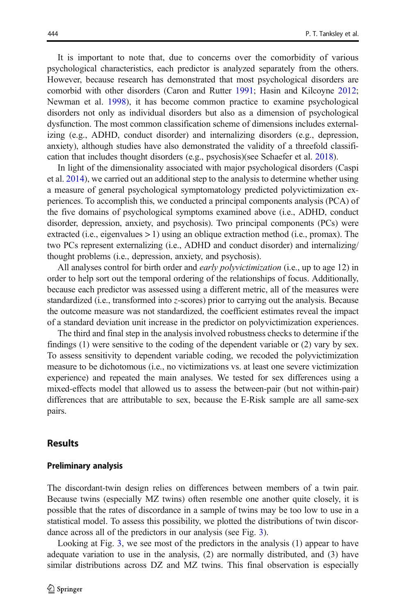It is important to note that, due to concerns over the comorbidity of various psychological characteristics, each predictor is analyzed separately from the others. However, because research has demonstrated that most psychological disorders are comorbid with other disorders (Caron and Rutter [1991](#page-25-0); Hasin and Kilcoyne [2012;](#page-26-0) Newman et al. [1998\)](#page-27-0), it has become common practice to examine psychological disorders not only as individual disorders but also as a dimension of psychological dysfunction. The most common classification scheme of dimensions includes externalizing (e.g., ADHD, conduct disorder) and internalizing disorders (e.g., depression, anxiety), although studies have also demonstrated the validity of a threefold classification that includes thought disorders (e.g., psychosis)(see Schaefer et al. [2018\)](#page-28-0).

In light of the dimensionality associated with major psychological disorders (Caspi et al. [2014](#page-25-0)), we carried out an additional step to the analysis to determine whether using a measure of general psychological symptomatology predicted polyvictimization experiences. To accomplish this, we conducted a principal components analysis (PCA) of the five domains of psychological symptoms examined above (i.e., ADHD, conduct disorder, depression, anxiety, and psychosis). Two principal components (PCs) were extracted (i.e., eigenvalues > 1) using an oblique extraction method (i.e., promax). The two PCs represent externalizing (i.e., ADHD and conduct disorder) and internalizing/ thought problems (i.e., depression, anxiety, and psychosis).

All analyses control for birth order and *early polyvictimization* (i.e., up to age 12) in order to help sort out the temporal ordering of the relationships of focus. Additionally, because each predictor was assessed using a different metric, all of the measures were standardized (i.e., transformed into z-scores) prior to carrying out the analysis. Because the outcome measure was not standardized, the coefficient estimates reveal the impact of a standard deviation unit increase in the predictor on polyvictimization experiences.

The third and final step in the analysis involved robustness checks to determine if the findings (1) were sensitive to the coding of the dependent variable or (2) vary by sex. To assess sensitivity to dependent variable coding, we recoded the polyvictimization measure to be dichotomous (i.e., no victimizations vs. at least one severe victimization experience) and repeated the main analyses. We tested for sex differences using a mixed-effects model that allowed us to assess the between-pair (but not within-pair) differences that are attributable to sex, because the E-Risk sample are all same-sex pairs.

### **Results**

#### Preliminary analysis

The discordant-twin design relies on differences between members of a twin pair. Because twins (especially MZ twins) often resemble one another quite closely, it is possible that the rates of discordance in a sample of twins may be too low to use in a statistical model. To assess this possibility, we plotted the distributions of twin discordance across all of the predictors in our analysis (see Fig. [3](#page-14-0)).

Looking at Fig. [3,](#page-14-0) we see most of the predictors in the analysis (1) appear to have adequate variation to use in the analysis, (2) are normally distributed, and (3) have similar distributions across DZ and MZ twins. This final observation is especially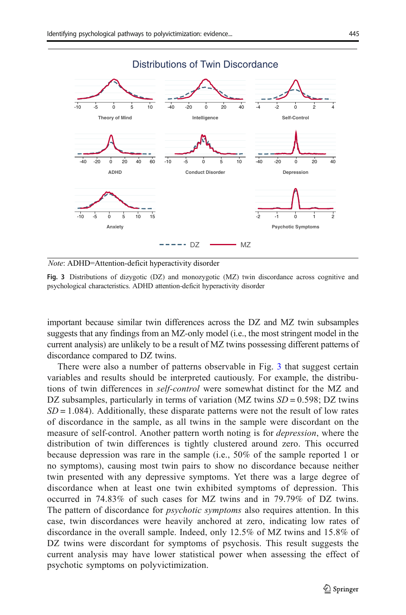<span id="page-14-0"></span>

## Distributions of Twin Discordance

*Note*: ADHD=Attention-deficit hyperactivity disorder

Fig. 3 Distributions of dizygotic (DZ) and monozygotic (MZ) twin discordance across cognitive and psychological characteristics. ADHD attention-deficit hyperactivity disorder

important because similar twin differences across the DZ and MZ twin subsamples suggests that any findings from an MZ-only model (i.e., the most stringent model in the current analysis) are unlikely to be a result of MZ twins possessing different patterns of discordance compared to DZ twins.

There were also a number of patterns observable in Fig. 3 that suggest certain variables and results should be interpreted cautiously. For example, the distributions of twin differences in self-control were somewhat distinct for the MZ and DZ subsamples, particularly in terms of variation (MZ twins  $SD = 0.598$ ; DZ twins  $SD = 1.084$ ). Additionally, these disparate patterns were not the result of low rates of discordance in the sample, as all twins in the sample were discordant on the measure of self-control. Another pattern worth noting is for *depression*, where the distribution of twin differences is tightly clustered around zero. This occurred because depression was rare in the sample (i.e., 50% of the sample reported 1 or no symptoms), causing most twin pairs to show no discordance because neither twin presented with any depressive symptoms. Yet there was a large degree of discordance when at least one twin exhibited symptoms of depression. This occurred in 74.83% of such cases for MZ twins and in 79.79% of DZ twins. The pattern of discordance for *psychotic symptoms* also requires attention. In this case, twin discordances were heavily anchored at zero, indicating low rates of discordance in the overall sample. Indeed, only 12.5% of MZ twins and 15.8% of DZ twins were discordant for symptoms of psychosis. This result suggests the current analysis may have lower statistical power when assessing the effect of psychotic symptoms on polyvictimization.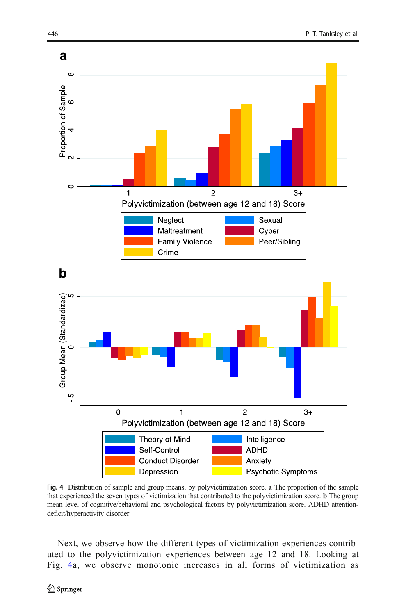<span id="page-15-0"></span>

Fig. 4 Distribution of sample and group means, by polyvictimization score. a The proportion of the sample that experienced the seven types of victimization that contributed to the polyvictimization score. b The group mean level of cognitive/behavioral and psychological factors by polyvictimization score. ADHD attentiondeficit/hyperactivity disorder

Next, we observe how the different types of victimization experiences contributed to the polyvictimization experiences between age 12 and 18. Looking at Fig. 4a, we observe monotonic increases in all forms of victimization as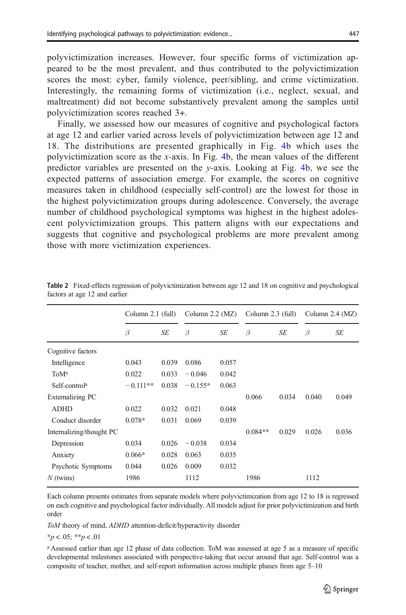<span id="page-16-0"></span>polyvictimization increases. However, four specific forms of victimization appeared to be the most prevalent, and thus contributed to the polyvictimization scores the most: cyber, family violence, peer/sibling, and crime victimization. Interestingly, the remaining forms of victimization (i.e., neglect, sexual, and maltreatment) did not become substantively prevalent among the samples until polyvictimization scores reached 3+.

Finally, we assessed how our measures of cognitive and psychological factors at age 12 and earlier varied across levels of polyvictimization between age 12 and 18. The distributions are presented graphically in Fig. [4](#page-15-0)b which uses the polyvictimization score as the x-axis. In Fig. [4b](#page-15-0), the mean values of the different predictor variables are presented on the y-axis. Looking at Fig.  $4b$ , we see the expected patterns of association emerge. For example, the scores on cognitive measures taken in childhood (especially self-control) are the lowest for those in the highest polyvictimization groups during adolescence. Conversely, the average number of childhood psychological symptoms was highest in the highest adolescent polyvictimization groups. This pattern aligns with our expectations and suggests that cognitive and psychological problems are more prevalent among those with more victimization experiences.

|                           | Column 2.1 (full) |       | Column $2.2$ (MZ) |       | Column 2.3 (full) |       | Column $2.4 \, (MZ)$ |       |
|---------------------------|-------------------|-------|-------------------|-------|-------------------|-------|----------------------|-------|
|                           | β                 | SE    | β                 | SE    | $\beta$           | SE    | β                    | SE    |
| Cognitive factors         |                   |       |                   |       |                   |       |                      |       |
| Intelligence              | 0.043             | 0.039 | 0.086             | 0.057 |                   |       |                      |       |
| ToM <sup>a</sup>          | 0.022             | 0.033 | $-0.046$          | 0.042 |                   |       |                      |       |
| Self-control <sup>a</sup> | $-0.111**$        | 0.038 | $-0.155*$         | 0.063 |                   |       |                      |       |
| Externalizing PC          |                   |       |                   |       | 0.066             | 0.034 | 0.040                | 0.049 |
| <b>ADHD</b>               | 0.022             | 0.032 | 0.021             | 0.048 |                   |       |                      |       |
| Conduct disorder          | $0.078*$          | 0.031 | 0.069             | 0.039 |                   |       |                      |       |
| Internalizing/thought PC  |                   |       |                   |       | $0.084**$         | 0.029 | 0.026                | 0.036 |
| Depression                | 0.034             | 0.026 | $-0.038$          | 0.034 |                   |       |                      |       |
| Anxiety                   | $0.066*$          | 0.028 | 0.063             | 0.035 |                   |       |                      |       |
| Psychotic Symptoms        | 0.044             | 0.026 | 0.009             | 0.032 |                   |       |                      |       |
| $N$ (twins)               | 1986              |       | 1112              |       | 1986              |       | 1112                 |       |

Table 2 Fixed-effects regression of polyvictimization between age 12 and 18 on cognitive and psychological factors at age 12 and earlier

Each column presents estimates from separate models where polyvictimization from age 12 to 18 is regressed on each cognitive and psychological factor individually. All models adjust for prior polyvictimization and birth order

ToM theory of mind, ADHD attention-deficit/hyperactivity disorder

 $*p < .05; **p < .01$ 

<sup>a</sup> Assessed earlier than age 12 phase of data collection. ToM was assessed at age 5 as a measure of specific developmental milestones associated with perspective-taking that occur around that age. Self-control was a composite of teacher, mother, and self-report information across multiple phases from age 5–10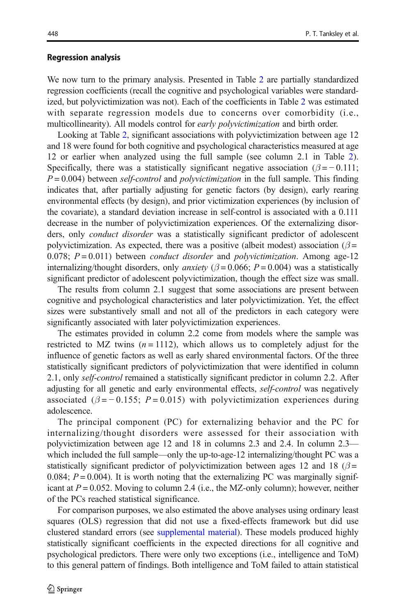#### Regression analysis

We now turn to the primary analysis. Presented in Table [2](#page-16-0) are partially standardized regression coefficients (recall the cognitive and psychological variables were standardized, but polyvictimization was not). Each of the coefficients in Table [2](#page-16-0) was estimated with separate regression models due to concerns over comorbidity (i.e., multicollinearity). All models control for *early polyvictimization* and birth order.

Looking at Table [2](#page-16-0), significant associations with polyvictimization between age 12 and 18 were found for both cognitive and psychological characteristics measured at age 12 or earlier when analyzed using the full sample (see column 2.1 in Table [2\)](#page-16-0). Specifically, there was a statistically significant negative association  $(\beta = -0.111)$ ;  $P = 0.004$ ) between *self-control* and *polyvictimization* in the full sample. This finding indicates that, after partially adjusting for genetic factors (by design), early rearing environmental effects (by design), and prior victimization experiences (by inclusion of the covariate), a standard deviation increase in self-control is associated with a 0.111 decrease in the number of polyvictimization experiences. Of the externalizing disorders, only *conduct disorder* was a statistically significant predictor of adolescent polyvictimization. As expected, there was a positive (albeit modest) association ( $\beta$  = 0.078;  $P = 0.011$ ) between *conduct disorder* and *polyvictimization*. Among age-12 internalizing/thought disorders, only *anxiety* ( $\beta$  = 0.066; P = 0.004) was a statistically significant predictor of adolescent polyvictimization, though the effect size was small.

The results from column 2.1 suggest that some associations are present between cognitive and psychological characteristics and later polyvictimization. Yet, the effect sizes were substantively small and not all of the predictors in each category were significantly associated with later polyvictimization experiences.

The estimates provided in column 2.2 come from models where the sample was restricted to MZ twins  $(n = 1112)$ , which allows us to completely adjust for the influence of genetic factors as well as early shared environmental factors. Of the three statistically significant predictors of polyvictimization that were identified in column 2.1, only *self-control* remained a statistically significant predictor in column 2.2. After adjusting for all genetic and early environmental effects, self-control was negatively associated ( $\beta$  = −0.155; P = 0.015) with polyvictimization experiences during adolescence.

The principal component (PC) for externalizing behavior and the PC for internalizing/thought disorders were assessed for their association with polyvictimization between age 12 and 18 in columns 2.3 and 2.4. In column 2.3 which included the full sample—only the up-to-age-12 internalizing/thought PC was a statistically significant predictor of polyvictimization between ages 12 and 18 ( $\beta$  = 0.084;  $P = 0.004$ ). It is worth noting that the externalizing PC was marginally significant at  $P = 0.052$ . Moving to column 2.4 (i.e., the MZ-only column); however, neither of the PCs reached statistical significance.

For comparison purposes, we also estimated the above analyses using ordinary least squares (OLS) regression that did not use a fixed-effects framework but did use clustered standard errors (see supplemental material). These models produced highly statistically significant coefficients in the expected directions for all cognitive and psychological predictors. There were only two exceptions (i.e., intelligence and ToM) to this general pattern of findings. Both intelligence and ToM failed to attain statistical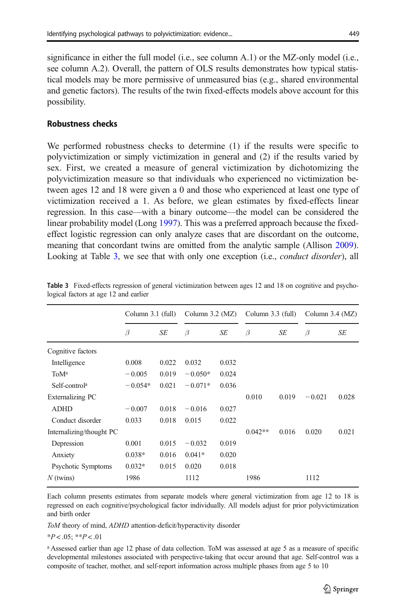<span id="page-18-0"></span>significance in either the full model (i.e., see column A.1) or the MZ-only model (i.e., see column A.2). Overall, the pattern of OLS results demonstrates how typical statistical models may be more permissive of unmeasured bias (e.g., shared environmental and genetic factors). The results of the twin fixed-effects models above account for this possibility.

### Robustness checks

We performed robustness checks to determine (1) if the results were specific to polyvictimization or simply victimization in general and (2) if the results varied by sex. First, we created a measure of general victimization by dichotomizing the polyvictimization measure so that individuals who experienced no victimization between ages 12 and 18 were given a 0 and those who experienced at least one type of victimization received a 1. As before, we glean estimates by fixed-effects linear regression. In this case—with a binary outcome—the model can be considered the linear probability model (Long [1997\)](#page-27-0). This was a preferred approach because the fixedeffect logistic regression can only analyze cases that are discordant on the outcome, meaning that concordant twins are omitted from the analytic sample (Allison [2009\)](#page-24-0). Looking at Table 3, we see that with only one exception (i.e., *conduct disorder*), all

|                           | Column $3.1$ (full) |       | Column $3.2 \, (MZ)$ |       | Column 3.3 (full) |       | Column $3.4$ (MZ) |       |
|---------------------------|---------------------|-------|----------------------|-------|-------------------|-------|-------------------|-------|
|                           | β                   | SE    | β                    | SE    | β                 | SE    | β                 | SE    |
| Cognitive factors         |                     |       |                      |       |                   |       |                   |       |
| Intelligence              | 0.008               | 0.022 | 0.032                | 0.032 |                   |       |                   |       |
| ToM <sup>a</sup>          | $-0.005$            | 0.019 | $-0.050*$            | 0.024 |                   |       |                   |       |
| Self-control <sup>a</sup> | $-0.054*$           | 0.021 | $-0.071*$            | 0.036 |                   |       |                   |       |
| Externalizing PC          |                     |       |                      |       | 0.010             | 0.019 | $-0.021$          | 0.028 |
| <b>ADHD</b>               | $-0.007$            | 0.018 | $-0.016$             | 0.027 |                   |       |                   |       |
| Conduct disorder          | 0.033               | 0.018 | 0.015                | 0.022 |                   |       |                   |       |
| Internalizing/thought PC  |                     |       |                      |       | $0.042**$         | 0.016 | 0.020             | 0.021 |
| Depression                | 0.001               | 0.015 | $-0.032$             | 0.019 |                   |       |                   |       |
| Anxiety                   | $0.038*$            | 0.016 | $0.041*$             | 0.020 |                   |       |                   |       |
| Psychotic Symptoms        | $0.032*$            | 0.015 | 0.020                | 0.018 |                   |       |                   |       |
| $N$ (twins)               | 1986                |       | 1112                 |       | 1986              |       | 1112              |       |

Table 3 Fixed-effects regression of general victimization between ages 12 and 18 on cognitive and psychological factors at age 12 and earlier

Each column presents estimates from separate models where general victimization from age 12 to 18 is regressed on each cognitive/psychological factor individually. All models adjust for prior polyvictimization and birth order

ToM theory of mind, ADHD attention-deficit/hyperactivity disorder

 $*P < .05; **P < .01$ 

<sup>a</sup> Assessed earlier than age 12 phase of data collection. ToM was assessed at age 5 as a measure of specific developmental milestones associated with perspective-taking that occur around that age. Self-control was a composite of teacher, mother, and self-report information across multiple phases from age 5 to 10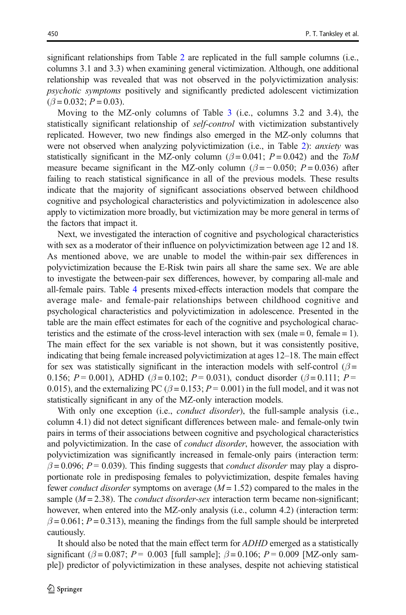significant relationships from Table [2](#page-16-0) are replicated in the full sample columns (i.e., columns 3.1 and 3.3) when examining general victimization. Although, one additional relationship was revealed that was not observed in the polyvictimization analysis: psychotic symptoms positively and significantly predicted adolescent victimization  $(\beta = 0.032; P = 0.03)$ .

Moving to the MZ-only columns of Table [3](#page-18-0) (i.e., columns 3.2 and 3.4), the statistically significant relationship of *self-control* with victimization substantively replicated. However, two new findings also emerged in the MZ-only columns that were not observed when analyzing polyvictimization (i.e., in Table [2](#page-16-0)): anxiety was statistically significant in the MZ-only column ( $\beta$  = 0.041; P = 0.042) and the ToM measure became significant in the MZ-only column ( $\beta$  = -0.050; P = 0.036) after failing to reach statistical significance in all of the previous models. These results indicate that the majority of significant associations observed between childhood cognitive and psychological characteristics and polyvictimization in adolescence also apply to victimization more broadly, but victimization may be more general in terms of the factors that impact it.

Next, we investigated the interaction of cognitive and psychological characteristics with sex as a moderator of their influence on polyvictimization between age 12 and 18. As mentioned above, we are unable to model the within-pair sex differences in polyvictimization because the E-Risk twin pairs all share the same sex. We are able to investigate the between-pair sex differences, however, by comparing all-male and all-female pairs. Table [4](#page-20-0) presents mixed-effects interaction models that compare the average male- and female-pair relationships between childhood cognitive and psychological characteristics and polyvictimization in adolescence. Presented in the table are the main effect estimates for each of the cognitive and psychological characteristics and the estimate of the cross-level interaction with sex (male  $= 0$ , female  $= 1$ ). The main effect for the sex variable is not shown, but it was consistently positive, indicating that being female increased polyvictimization at ages 12–18. The main effect for sex was statistically significant in the interaction models with self-control ( $\beta$  = 0.156;  $P = 0.001$ ), ADHD ( $\beta = 0.102$ ;  $P = 0.031$ ), conduct disorder ( $\beta = 0.111$ ;  $P =$ 0.015), and the externalizing PC ( $\beta$  = 0.153; P = 0.001) in the full model, and it was not statistically significant in any of the MZ-only interaction models.

With only one exception (i.e., *conduct disorder*), the full-sample analysis (i.e., column 4.1) did not detect significant differences between male- and female-only twin pairs in terms of their associations between cognitive and psychological characteristics and polyvictimization. In the case of *conduct disorder*, however, the association with polyvictimization was significantly increased in female-only pairs (interaction term:  $\beta = 0.096$ ;  $P = 0.039$ ). This finding suggests that *conduct disorder* may play a disproportionate role in predisposing females to polyvictimization, despite females having fewer *conduct disorder* symptoms on average  $(M = 1.52)$  compared to the males in the sample  $(M = 2.38)$ . The *conduct disorder-sex* interaction term became non-significant; however, when entered into the MZ-only analysis (i.e., column 4.2) (interaction term:  $\beta$  = 0.061; P = 0.313), meaning the findings from the full sample should be interpreted cautiously.

It should also be noted that the main effect term for ADHD emerged as a statistically significant ( $\beta$  = 0.087; P = 0.003 [full sample];  $\beta$  = 0.106; P = 0.009 [MZ-only sample]) predictor of polyvictimization in these analyses, despite not achieving statistical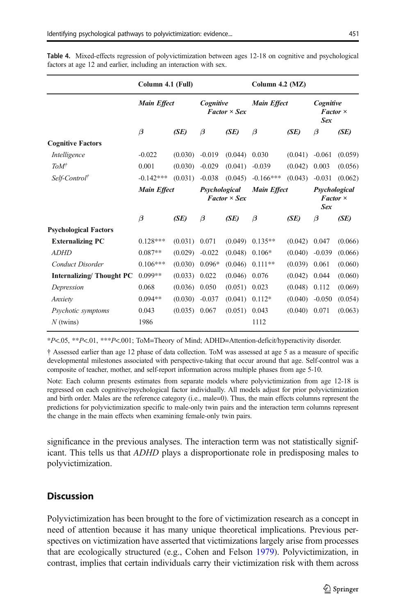|                                 | Column 4.1 (Full)                     |                 |                                      |         | Column $4.2$ (MZ)  |         |                                            |         |
|---------------------------------|---------------------------------------|-----------------|--------------------------------------|---------|--------------------|---------|--------------------------------------------|---------|
|                                 | <b>Main Effect</b>                    |                 | Cognitive<br>$Factor \times Sex$     |         | <b>Main Effect</b> |         | Cognitive<br>$Factor \times$<br><b>Sex</b> |         |
|                                 | $\beta$                               | (SE)            | $\beta$                              | (SE)    | $\beta$            | (SE)    | $\beta$                                    | (SE)    |
| <b>Cognitive Factors</b>        |                                       |                 |                                      |         |                    |         |                                            |         |
| Intelligence                    | $-0.022$                              | (0.030)         | $-0.019$                             | (0.044) | 0.030              | (0.041) | $-0.061$                                   | (0.059) |
| $T_OM^{\dagger}$                | 0.001                                 | (0.030)         | $-0.029$                             | (0.041) | $-0.039$           | (0.042) | 0.003                                      | (0.056) |
| Self-Control <sup>†</sup>       | $-0.142***$                           | (0.031)         | $-0.038$                             | (0.045) | $-0.166***$        | (0.043) | $-0.031$                                   | (0.062) |
|                                 | <b>Main Effect</b><br>$\beta$<br>(SE) |                 | Psychological<br>$Factor \times Sex$ |         | <b>Main Effect</b> |         | Psychological<br>$Factor \times$<br>Sex    |         |
|                                 |                                       |                 | $\beta$                              | (SE)    | $\beta$            | (SE)    | $\beta$                                    | (SE)    |
| <b>Psychological Factors</b>    |                                       |                 |                                      |         |                    |         |                                            |         |
| <b>Externalizing PC</b>         | $0.128***$                            | (0.031)         | 0.071                                | (0.049) | $0.135**$          | (0.042) | 0.047                                      | (0.066) |
| <b>ADHD</b>                     | $0.087**$                             | (0.029)         | $-0.022$                             | (0.048) | $0.106*$           | (0.040) | $-0.039$                                   | (0.066) |
| Conduct Disorder                | $0.106***$                            | (0.030)         | $0.096*$                             | (0.046) | $0.111**$          | (0.039) | 0.061                                      | (0.060) |
| <b>Internalizing/Thought PC</b> | $0.099**$                             | (0.033)         | 0.022                                | (0.046) | 0.076              | (0.042) | 0.044                                      | (0.060) |
| Depression                      | 0.068                                 | $(0.036)$ 0.050 |                                      | (0.051) | 0.023              | (0.048) | 0.112                                      | (0.069) |
| Anxiety                         | $0.094**$                             | (0.030)         | $-0.037$                             | (0.041) | $0.112*$           | (0.040) | $-0.050$                                   | (0.054) |
| Psychotic symptoms              | 0.043                                 | (0.035)         | 0.067                                | (0.051) | 0.043              | (0.040) | 0.071                                      | (0.063) |
| $N$ (twins)                     | 1986                                  |                 |                                      |         | 1112               |         |                                            |         |

<span id="page-20-0"></span>Table 4. Mixed-effects regression of polyvictimization between ages 12-18 on cognitive and psychological factors at age 12 and earlier, including an interaction with sex.

\*P<.05, \*\*P<.01, \*\*\*P<.001; ToM=Theory of Mind; ADHD=Attention-deficit/hyperactivity disorder.

† Assessed earlier than age 12 phase of data collection. ToM was assessed at age 5 as a measure of specific developmental milestones associated with perspective-taking that occur around that age. Self-control was a composite of teacher, mother, and self-report information across multiple phases from age 5-10.

Note: Each column presents estimates from separate models where polyvictimization from age 12-18 is regressed on each cognitive/psychological factor individually. All models adjust for prior polyvictimization and birth order. Males are the reference category (i.e., male=0). Thus, the main effects columns represent the predictions for polyvictimization specific to male-only twin pairs and the interaction term columns represent the change in the main effects when examining female-only twin pairs.

significance in the previous analyses. The interaction term was not statistically significant. This tells us that ADHD plays a disproportionate role in predisposing males to polyvictimization.

# **Discussion**

Polyvictimization has been brought to the fore of victimization research as a concept in need of attention because it has many unique theoretical implications. Previous perspectives on victimization have asserted that victimizations largely arise from processes that are ecologically structured (e.g., Cohen and Felson [1979\)](#page-26-0). Polyvictimization, in contrast, implies that certain individuals carry their victimization risk with them across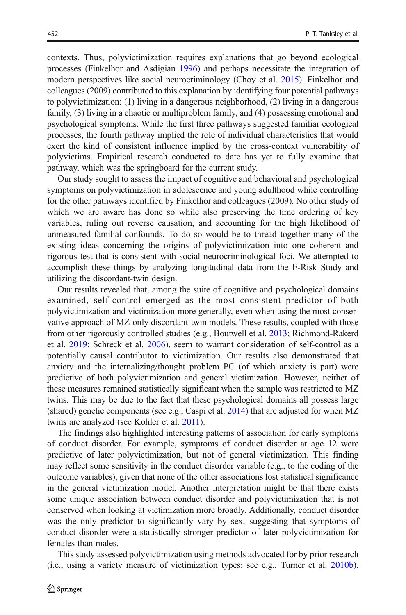contexts. Thus, polyvictimization requires explanations that go beyond ecological processes (Finkelhor and Asdigian [1996\)](#page-26-0) and perhaps necessitate the integration of modern perspectives like social neurocriminology (Choy et al. [2015\)](#page-25-0). Finkelhor and colleagues (2009) contributed to this explanation by identifying four potential pathways to polyvictimization: (1) living in a dangerous neighborhood, (2) living in a dangerous family, (3) living in a chaotic or multiproblem family, and (4) possessing emotional and psychological symptoms. While the first three pathways suggested familiar ecological processes, the fourth pathway implied the role of individual characteristics that would exert the kind of consistent influence implied by the cross-context vulnerability of polyvictims. Empirical research conducted to date has yet to fully examine that pathway, which was the springboard for the current study.

Our study sought to assess the impact of cognitive and behavioral and psychological symptoms on polyvictimization in adolescence and young adulthood while controlling for the other pathways identified by Finkelhor and colleagues (2009). No other study of which we are aware has done so while also preserving the time ordering of key variables, ruling out reverse causation, and accounting for the high likelihood of unmeasured familial confounds. To do so would be to thread together many of the existing ideas concerning the origins of polyvictimization into one coherent and rigorous test that is consistent with social neurocriminological foci. We attempted to accomplish these things by analyzing longitudinal data from the E-Risk Study and utilizing the discordant-twin design.

Our results revealed that, among the suite of cognitive and psychological domains examined, self-control emerged as the most consistent predictor of both polyvictimization and victimization more generally, even when using the most conservative approach of MZ-only discordant-twin models. These results, coupled with those from other rigorously controlled studies (e.g., Boutwell et al. [2013](#page-25-0); Richmond-Rakerd et al. [2019](#page-28-0); Schreck et al. [2006](#page-28-0)), seem to warrant consideration of self-control as a potentially causal contributor to victimization. Our results also demonstrated that anxiety and the internalizing/thought problem PC (of which anxiety is part) were predictive of both polyvictimization and general victimization. However, neither of these measures remained statistically significant when the sample was restricted to MZ twins. This may be due to the fact that these psychological domains all possess large (shared) genetic components (see e.g., Caspi et al. [2014\)](#page-25-0) that are adjusted for when MZ twins are analyzed (see Kohler et al. [2011\)](#page-26-0).

The findings also highlighted interesting patterns of association for early symptoms of conduct disorder. For example, symptoms of conduct disorder at age 12 were predictive of later polyvictimization, but not of general victimization. This finding may reflect some sensitivity in the conduct disorder variable (e.g., to the coding of the outcome variables), given that none of the other associations lost statistical significance in the general victimization model. Another interpretation might be that there exists some unique association between conduct disorder and polyvictimization that is not conserved when looking at victimization more broadly. Additionally, conduct disorder was the only predictor to significantly vary by sex, suggesting that symptoms of conduct disorder were a statistically stronger predictor of later polyvictimization for females than males.

This study assessed polyvictimization using methods advocated for by prior research (i.e., using a variety measure of victimization types; see e.g., Turner et al. [2010b\)](#page-28-0).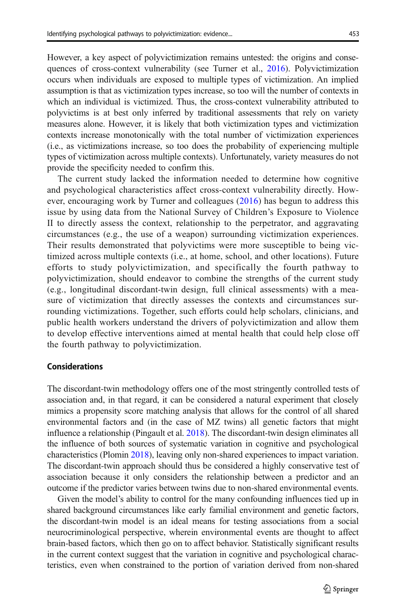However, a key aspect of polyvictimization remains untested: the origins and consequences of cross-context vulnerability (see Turner et al., [2016\)](#page-28-0). Polyvictimization occurs when individuals are exposed to multiple types of victimization. An implied assumption is that as victimization types increase, so too will the number of contexts in which an individual is victimized. Thus, the cross-context vulnerability attributed to polyvictims is at best only inferred by traditional assessments that rely on variety measures alone. However, it is likely that both victimization types and victimization contexts increase monotonically with the total number of victimization experiences (i.e., as victimizations increase, so too does the probability of experiencing multiple types of victimization across multiple contexts). Unfortunately, variety measures do not provide the specificity needed to confirm this.

The current study lacked the information needed to determine how cognitive and psychological characteristics affect cross-context vulnerability directly. However, encouraging work by Turner and colleagues [\(2016\)](#page-28-0) has begun to address this issue by using data from the National Survey of Children's Exposure to Violence II to directly assess the context, relationship to the perpetrator, and aggravating circumstances (e.g., the use of a weapon) surrounding victimization experiences. Their results demonstrated that polyvictims were more susceptible to being victimized across multiple contexts (i.e., at home, school, and other locations). Future efforts to study polyvictimization, and specifically the fourth pathway to polyvictimization, should endeavor to combine the strengths of the current study (e.g., longitudinal discordant-twin design, full clinical assessments) with a measure of victimization that directly assesses the contexts and circumstances surrounding victimizations. Together, such efforts could help scholars, clinicians, and public health workers understand the drivers of polyvictimization and allow them to develop effective interventions aimed at mental health that could help close off the fourth pathway to polyvictimization.

#### Considerations

The discordant-twin methodology offers one of the most stringently controlled tests of association and, in that regard, it can be considered a natural experiment that closely mimics a propensity score matching analysis that allows for the control of all shared environmental factors and (in the case of MZ twins) all genetic factors that might influence a relationship (Pingault et al. [2018](#page-27-0)). The discordant-twin design eliminates all the influence of both sources of systematic variation in cognitive and psychological characteristics (Plomin [2018](#page-27-0)), leaving only non-shared experiences to impact variation. The discordant-twin approach should thus be considered a highly conservative test of association because it only considers the relationship between a predictor and an outcome if the predictor varies between twins due to non-shared environmental events.

Given the model's ability to control for the many confounding influences tied up in shared background circumstances like early familial environment and genetic factors, the discordant-twin model is an ideal means for testing associations from a social neurocriminological perspective, wherein environmental events are thought to affect brain-based factors, which then go on to affect behavior. Statistically significant results in the current context suggest that the variation in cognitive and psychological characteristics, even when constrained to the portion of variation derived from non-shared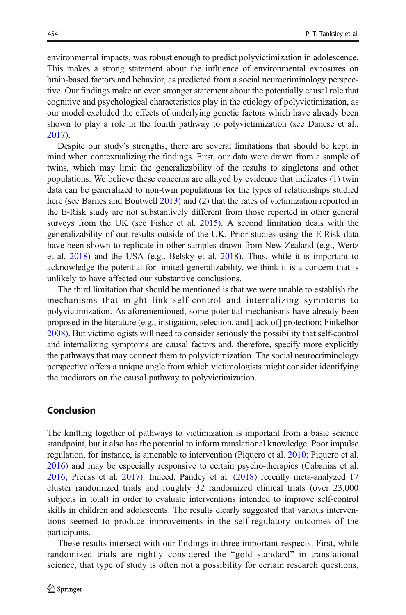environmental impacts, was robust enough to predict polyvictimization in adolescence. This makes a strong statement about the influence of environmental exposures on brain-based factors and behavior, as predicted from a social neurocriminology perspective. Our findings make an even stronger statement about the potentially causal role that cognitive and psychological characteristics play in the etiology of polyvictimization, as our model excluded the effects of underlying genetic factors which have already been shown to play a role in the fourth pathway to polyvictimization (see Danese et al., [2017\)](#page-26-0).

Despite our study's strengths, there are several limitations that should be kept in mind when contextualizing the findings. First, our data were drawn from a sample of twins, which may limit the generalizability of the results to singletons and other populations. We believe these concerns are allayed by evidence that indicates (1) twin data can be generalized to non-twin populations for the types of relationships studied here (see Barnes and Boutwell [2013\)](#page-25-0) and (2) that the rates of victimization reported in the E-Risk study are not substantively different from those reported in other general surveys from the UK (see Fisher et al. [2015](#page-26-0)). A second limitation deals with the generalizability of our results outside of the UK. Prior studies using the E-Risk data have been shown to replicate in other samples drawn from New Zealand (e.g., Wertz et al. [2018\)](#page-28-0) and the USA (e.g., Belsky et al. [2018](#page-25-0)). Thus, while it is important to acknowledge the potential for limited generalizability, we think it is a concern that is unlikely to have affected our substantive conclusions.

The third limitation that should be mentioned is that we were unable to establish the mechanisms that might link self-control and internalizing symptoms to polyvictimization. As aforementioned, some potential mechanisms have already been proposed in the literature (e.g., instigation, selection, and [lack of] protection; Finkelhor [2008\)](#page-26-0). But victimologists will need to consider seriously the possibility that self-control and internalizing symptoms are causal factors and, therefore, specify more explicitly the pathways that may connect them to polyvictimization. The social neurocriminology perspective offers a unique angle from which victimologists might consider identifying the mediators on the causal pathway to polyvictimization.

## Conclusion

The knitting together of pathways to victimization is important from a basic science standpoint, but it also has the potential to inform translational knowledge. Poor impulse regulation, for instance, is amenable to intervention (Piquero et al. [2010](#page-27-0); Piquero et al. [2016\)](#page-27-0) and may be especially responsive to certain psycho-therapies (Cabaniss et al. [2016;](#page-25-0) Preuss et al. [2017\)](#page-27-0). Indeed, Pandey et al. ([2018](#page-27-0)) recently meta-analyzed 17 cluster randomized trials and roughly 32 randomized clinical trials (over 23,000 subjects in total) in order to evaluate interventions intended to improve self-control skills in children and adolescents. The results clearly suggested that various interventions seemed to produce improvements in the self-regulatory outcomes of the participants.

These results intersect with our findings in three important respects. First, while randomized trials are rightly considered the "gold standard" in translational science, that type of study is often not a possibility for certain research questions,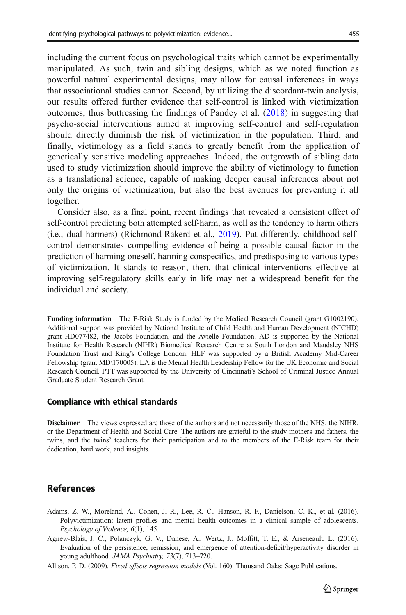<span id="page-24-0"></span>including the current focus on psychological traits which cannot be experimentally manipulated. As such, twin and sibling designs, which as we noted function as powerful natural experimental designs, may allow for causal inferences in ways that associational studies cannot. Second, by utilizing the discordant-twin analysis, our results offered further evidence that self-control is linked with victimization outcomes, thus buttressing the findings of Pandey et al. [\(2018\)](#page-27-0) in suggesting that psycho-social interventions aimed at improving self-control and self-regulation should directly diminish the risk of victimization in the population. Third, and finally, victimology as a field stands to greatly benefit from the application of genetically sensitive modeling approaches. Indeed, the outgrowth of sibling data used to study victimization should improve the ability of victimology to function as a translational science, capable of making deeper causal inferences about not only the origins of victimization, but also the best avenues for preventing it all together.

Consider also, as a final point, recent findings that revealed a consistent effect of self-control predicting both attempted self-harm, as well as the tendency to harm others (i.e., dual harmers) (Richmond-Rakerd et al., [2019](#page-28-0)). Put differently, childhood selfcontrol demonstrates compelling evidence of being a possible causal factor in the prediction of harming oneself, harming conspecifics, and predisposing to various types of victimization. It stands to reason, then, that clinical interventions effective at improving self-regulatory skills early in life may net a widespread benefit for the individual and society.

Funding information The E-Risk Study is funded by the Medical Research Council (grant G1002190). Additional support was provided by National Institute of Child Health and Human Development (NICHD) grant HD077482, the Jacobs Foundation, and the Avielle Foundation. AD is supported by the National Institute for Health Research (NIHR) Biomedical Research Centre at South London and Maudsley NHS Foundation Trust and King's College London. HLF was supported by a British Academy Mid-Career Fellowship (grant MD\170005). LA is the Mental Health Leadership Fellow for the UK Economic and Social Research Council. PTT was supported by the University of Cincinnati's School of Criminal Justice Annual Graduate Student Research Grant.

#### Compliance with ethical standards

Disclaimer The views expressed are those of the authors and not necessarily those of the NHS, the NIHR, or the Department of Health and Social Care. The authors are grateful to the study mothers and fathers, the twins, and the twins' teachers for their participation and to the members of the E-Risk team for their dedication, hard work, and insights.

### References

- Adams, Z. W., Moreland, A., Cohen, J. R., Lee, R. C., Hanson, R. F., Danielson, C. K., et al. (2016). Polyvictimization: latent profiles and mental health outcomes in a clinical sample of adolescents. Psychology of Violence, 6(1), 145.
- Agnew-Blais, J. C., Polanczyk, G. V., Danese, A., Wertz, J., Moffitt, T. E., & Arseneault, L. (2016). Evaluation of the persistence, remission, and emergence of attention-deficit/hyperactivity disorder in young adulthood. JAMA Psychiatry, 73(7), 713–720.
- Allison, P. D. (2009). Fixed effects regression models (Vol. 160). Thousand Oaks: Sage Publications.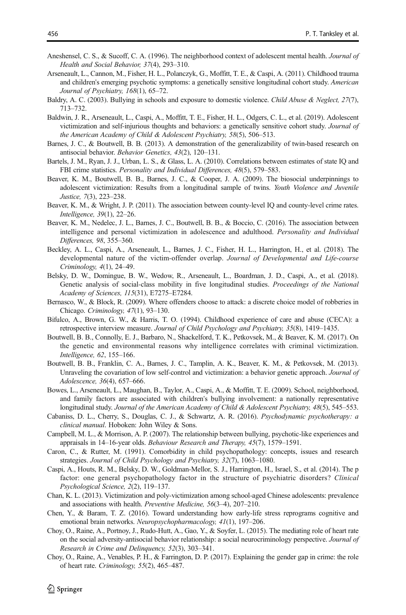- <span id="page-25-0"></span>Aneshensel, C. S., & Sucoff, C. A. (1996). The neighborhood context of adolescent mental health. *Journal of* Health and Social Behavior, 37(4), 293–310.
- Arseneault, L., Cannon, M., Fisher, H. L., Polanczyk, G., Moffitt, T. E., & Caspi, A. (2011). Childhood trauma and children's emerging psychotic symptoms: a genetically sensitive longitudinal cohort study. American Journal of Psychiatry, 168(1), 65–72.
- Baldry, A. C. (2003). Bullying in schools and exposure to domestic violence. Child Abuse & Neglect, 27(7), 713–732.
- Baldwin, J. R., Arseneault, L., Caspi, A., Moffitt, T. E., Fisher, H. L., Odgers, C. L., et al. (2019). Adolescent victimization and self-injurious thoughts and behaviors: a genetically sensitive cohort study. Journal of the American Academy of Child & Adolescent Psychiatry, 58(5), 506–513.
- Barnes, J. C., & Boutwell, B. B. (2013). A demonstration of the generalizability of twin-based research on antisocial behavior. Behavior Genetics, 43(2), 120–131.
- Bartels, J. M., Ryan, J. J., Urban, L. S., & Glass, L. A. (2010). Correlations between estimates of state IQ and FBI crime statistics. Personality and Individual Differences, 48(5), 579–583.
- Beaver, K. M., Boutwell, B. B., Barnes, J. C., & Cooper, J. A. (2009). The biosocial underpinnings to adolescent victimization: Results from a longitudinal sample of twins. Youth Violence and Juvenile Justice, 7(3), 223–238.
- Beaver, K. M., & Wright, J. P. (2011). The association between county-level IQ and county-level crime rates. Intelligence, 39(1), 22–26.
- Beaver, K. M., Nedelec, J. L., Barnes, J. C., Boutwell, B. B., & Boccio, C. (2016). The association between intelligence and personal victimization in adolescence and adulthood. Personality and Individual Differences, 98, 355–360.
- Beckley, A. L., Caspi, A., Arseneault, L., Barnes, J. C., Fisher, H. L., Harrington, H., et al. (2018). The developmental nature of the victim-offender overlap. Journal of Developmental and Life-course Criminology, 4(1), 24–49.
- Belsky, D. W., Domingue, B. W., Wedow, R., Arseneault, L., Boardman, J. D., Caspi, A., et al. (2018). Genetic analysis of social-class mobility in five longitudinal studies. Proceedings of the National Academy of Sciences, 115(31), E7275–E7284.
- Bernasco, W., & Block, R. (2009). Where offenders choose to attack: a discrete choice model of robberies in Chicago. Criminology, 47(1), 93–130.
- Bifulco, A., Brown, G. W., & Harris, T. O. (1994). Childhood experience of care and abuse (CECA): a retrospective interview measure. Journal of Child Psychology and Psychiatry, 35(8), 1419–1435.
- Boutwell, B. B., Connolly, E. J., Barbaro, N., Shackelford, T. K., Petkovsek, M., & Beaver, K. M. (2017). On the genetic and environmental reasons why intelligence correlates with criminal victimization. Intelligence, 62, 155–166.
- Boutwell, B. B., Franklin, C. A., Barnes, J. C., Tamplin, A. K., Beaver, K. M., & Petkovsek, M. (2013). Unraveling the covariation of low self-control and victimization: a behavior genetic approach. Journal of Adolescence, 36(4), 657–666.
- Bowes, L., Arseneault, L., Maughan, B., Taylor, A., Caspi, A., & Moffitt, T. E. (2009). School, neighborhood, and family factors are associated with children's bullying involvement: a nationally representative longitudinal study. Journal of the American Academy of Child & Adolescent Psychiatry, 48(5), 545–553.
- Cabaniss, D. L., Cherry, S., Douglas, C. J., & Schwartz, A. R. (2016). Psychodynamic psychotherapy: a clinical manual. Hoboken: John Wiley & Sons.
- Campbell, M. L., & Morrison, A. P. (2007). The relationship between bullying, psychotic-like experiences and appraisals in 14–16-year olds. Behaviour Research and Therapy, 45(7), 1579–1591.
- Caron, C., & Rutter, M. (1991). Comorbidity in child psychopathology: concepts, issues and research strategies. Journal of Child Psychology and Psychiatry, 32(7), 1063–1080.
- Caspi, A., Houts, R. M., Belsky, D. W., Goldman-Mellor, S. J., Harrington, H., Israel, S., et al. (2014). The p factor: one general psychopathology factor in the structure of psychiatric disorders? Clinical Psychological Science, 2(2), 119–137.
- Chan, K. L. (2013). Victimization and poly-victimization among school-aged Chinese adolescents: prevalence and associations with health. Preventive Medicine, 56(3–4), 207–210.
- Chen, Y., & Baram, T. Z. (2016). Toward understanding how early-life stress reprograms cognitive and emotional brain networks. Neuropsychopharmacology, 41(1), 197–206.
- Choy, O., Raine, A., Portnoy, J., Rudo-Hutt, A., Gao, Y., & Soyfer, L. (2015). The mediating role of heart rate on the social adversity-antisocial behavior relationship: a social neurocriminology perspective. Journal of Research in Crime and Delinquency, 52(3), 303–341.
- Choy, O., Raine, A., Venables, P. H., & Farrington, D. P. (2017). Explaining the gender gap in crime: the role of heart rate. Criminology, 55(2), 465–487.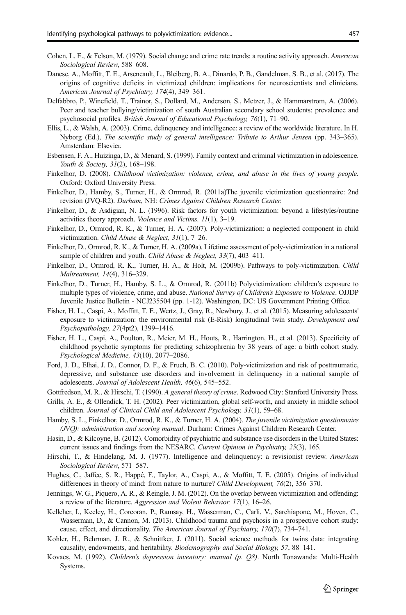- <span id="page-26-0"></span>Cohen, L. E., & Felson, M. (1979). Social change and crime rate trends: a routine activity approach. American Sociological Review, 588–608.
- Danese, A., Moffitt, T. E., Arseneault, L., Bleiberg, B. A., Dinardo, P. B., Gandelman, S. B., et al. (2017). The origins of cognitive deficits in victimized children: implications for neuroscientists and clinicians. American Journal of Psychiatry, 174(4), 349–361.
- Delfabbro, P., Winefield, T., Trainor, S., Dollard, M., Anderson, S., Metzer, J., & Hammarstrom, A. (2006). Peer and teacher bullying/victimization of south Australian secondary school students: prevalence and psychosocial profiles. British Journal of Educational Psychology, 76(1), 71–90.
- Ellis, L., & Walsh, A. (2003). Crime, delinquency and intelligence: a review of the worldwide literature. In H. Nyborg (Ed.), The scientific study of general intelligence: Tribute to Arthur Jensen (pp. 343–365). Amsterdam: Elsevier.
- Esbensen, F. A., Huizinga, D., & Menard, S. (1999). Family context and criminal victimization in adolescence. Youth & Society, 31(2), 168-198.
- Finkelhor, D. (2008). Childhood victimization: violence, crime, and abuse in the lives of young people. Oxford: Oxford University Press.
- Finkelhor, D., Hamby, S., Turner, H., & Ormrod, R. (2011a)The juvenile victimization questionnaire: 2nd revision (JVQ-R2). Durham, NH: Crimes Against Children Research Center.
- Finkelhor, D., & Asdigian, N. L. (1996). Risk factors for youth victimization: beyond a lifestyles/routine activities theory approach. Violence and Victims, 11(1), 3–19.
- Finkelhor, D., Ormrod, R. K., & Turner, H. A. (2007). Poly-victimization: a neglected component in child victimization. Child Abuse & Neglect, 31(1), 7–26.
- Finkelhor, D., Ormrod, R. K., & Turner, H. A. (2009a). Lifetime assessment of poly-victimization in a national sample of children and youth. Child Abuse & Neglect, 33(7), 403-411.
- Finkelhor, D., Ormrod, R. K., Turner, H. A., & Holt, M. (2009b). Pathways to poly-victimization. Child Maltreatment, 14(4), 316–329.
- Finkelhor, D., Turner, H., Hamby, S. L., & Ormrod, R. (2011b) Polyvictimization: children's exposure to multiple types of violence, crime, and abuse. National Survey of Children's Exposure to Violence. OJJDP Juvenile Justice Bulletin - NCJ235504 (pp. 1-12). Washington, DC: US Government Printing Office.
- Fisher, H. L., Caspi, A., Moffitt, T. E., Wertz, J., Gray, R., Newbury, J., et al. (2015). Measuring adolescents' exposure to victimization: the environmental risk (E-Risk) longitudinal twin study. Development and Psychopathology, 27(4pt2), 1399–1416.
- Fisher, H. L., Caspi, A., Poulton, R., Meier, M. H., Houts, R., Harrington, H., et al. (2013). Specificity of childhood psychotic symptoms for predicting schizophrenia by 38 years of age: a birth cohort study. Psychological Medicine, 43(10), 2077–2086.
- Ford, J. D., Elhai, J. D., Connor, D. F., & Frueh, B. C. (2010). Poly-victimization and risk of posttraumatic, depressive, and substance use disorders and involvement in delinquency in a national sample of adolescents. Journal of Adolescent Health, 46(6), 545–552.
- Gottfredson, M. R., & Hirschi, T. (1990). A general theory of crime. Redwood City: Stanford University Press.
- Grills, A. E., & Ollendick, T. H. (2002). Peer victimization, global self-worth, and anxiety in middle school children. Journal of Clinical Child and Adolescent Psychology, 31(1), 59–68.
- Hamby, S. L., Finkelhor, D., Ormrod, R. K., & Turner, H. A. (2004). The juvenile victimization questionnaire (JVQ): administration and scoring manual. Durham: Crimes Against Children Research Center.
- Hasin, D., & Kilcoyne, B. (2012). Comorbidity of psychiatric and substance use disorders in the United States: current issues and findings from the NESARC. Current Opinion in Psychiatry, 25(3), 165.
- Hirschi, T., & Hindelang, M. J. (1977). Intelligence and delinquency: a revisionist review. American Sociological Review, 571–587.
- Hughes, C., Jaffee, S. R., Happé, F., Taylor, A., Caspi, A., & Moffitt, T. E. (2005). Origins of individual differences in theory of mind: from nature to nurture? Child Development, 76(2), 356–370.
- Jennings, W. G., Piquero, A. R., & Reingle, J. M. (2012). On the overlap between victimization and offending: a review of the literature. Aggression and Violent Behavior, 17(1), 16–26.
- Kelleher, I., Keeley, H., Corcoran, P., Ramsay, H., Wasserman, C., Carli, V., Sarchiapone, M., Hoven, C., Wasserman, D., & Cannon, M. (2013). Childhood trauma and psychosis in a prospective cohort study: cause, effect, and directionality. The American Journal of Psychiatry, 170(7), 734–741.
- Kohler, H., Behrman, J. R., & Schnittker, J. (2011). Social science methods for twins data: integrating causality, endowments, and heritability. Biodemography and Social Biology, 57, 88–141.
- Kovacs, M. (1992). Children's depression inventory: manual (p. Q8). North Tonawanda: Multi-Health Systems.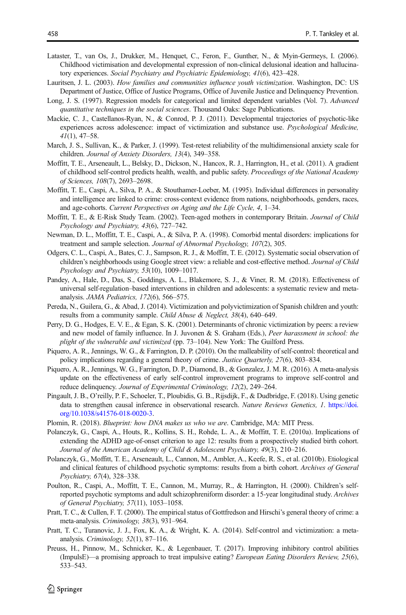- <span id="page-27-0"></span>Lataster, T., van Os, J., Drukker, M., Henquet, C., Feron, F., Gunther, N., & Myin-Germeys, I. (2006). Childhood victimisation and developmental expression of non-clinical delusional ideation and hallucinatory experiences. Social Psychiatry and Psychiatric Epidemiology, 41(6), 423–428.
- Lauritsen, J. L. (2003). How families and communities influence youth victimization. Washington, DC: US Department of Justice, Office of Justice Programs, Office of Juvenile Justice and Delinquency Prevention.
- Long, J. S. (1997). Regression models for categorical and limited dependent variables (Vol. 7). Advanced quantitative techniques in the social sciences. Thousand Oaks: Sage Publications.
- Mackie, C. J., Castellanos-Ryan, N., & Conrod, P. J. (2011). Developmental trajectories of psychotic-like experiences across adolescence: impact of victimization and substance use. Psychological Medicine, 41(1), 47–58.
- March, J. S., Sullivan, K., & Parker, J. (1999). Test-retest reliability of the multidimensional anxiety scale for children. Journal of Anxiety Disorders, 13(4), 349–358.
- Moffitt, T. E., Arseneault, L., Belsky, D., Dickson, N., Hancox, R. J., Harrington, H., et al. (2011). A gradient of childhood self-control predicts health, wealth, and public safety. Proceedings of the National Academy of Sciences, 108(7), 2693–2698.
- Moffitt, T. E., Caspi, A., Silva, P. A., & Stouthamer-Loeber, M. (1995). Individual differences in personality and intelligence are linked to crime: cross-context evidence from nations, neighborhoods, genders, races, and age-cohorts. Current Perspectives on Aging and the Life Cycle, 4, 1–34.
- Moffitt, T. E., & E-Risk Study Team. (2002). Teen-aged mothers in contemporary Britain. Journal of Child Psychology and Psychiatry, 43(6), 727–742.
- Newman, D. L., Moffitt, T. E., Caspi, A., & Silva, P. A. (1998). Comorbid mental disorders: implications for treatment and sample selection. Journal of Abnormal Psychology, 107(2), 305.
- Odgers, C. L., Caspi, A., Bates, C. J., Sampson, R. J., & Moffitt, T. E. (2012). Systematic social observation of children's neighborhoods using Google street view: a reliable and cost-effective method. Journal of Child Psychology and Psychiatry, 53(10), 1009–1017.
- Pandey, A., Hale, D., Das, S., Goddings, A. L., Blakemore, S. J., & Viner, R. M. (2018). Effectiveness of universal self-regulation–based interventions in children and adolescents: a systematic review and metaanalysis. JAMA Pediatrics, 172(6), 566–575.
- Pereda, N., Guilera, G., & Abad, J. (2014). Victimization and polyvictimization of Spanish children and youth: results from a community sample. Child Abuse & Neglect, 38(4), 640–649.
- Perry, D. G., Hodges, E. V. E., & Egan, S. K. (2001). Determinants of chronic victimization by peers: a review and new model of family influence. In J. Juvonen & S. Graham (Eds.), Peer harassment in school: the plight of the vulnerable and victimized (pp. 73–104). New York: The Guilford Press.
- Piquero, A. R., Jennings, W. G., & Farrington, D. P. (2010). On the malleability of self-control: theoretical and policy implications regarding a general theory of crime. Justice Quarterly, 27(6), 803–834.
- Piquero, A. R., Jennings, W. G., Farrington, D. P., Diamond, B., & Gonzalez, J. M. R. (2016). A meta-analysis update on the effectiveness of early self-control improvement programs to improve self-control and reduce delinquency. Journal of Experimental Criminology, 12(2), 249–264.
- Pingault, J. B., O'reilly, P. F., Schoeler, T., Ploubidis, G. B., Rijsdijk, F., & Dudbridge, F. (2018). Using genetic data to strengthen causal inference in observational research. Nature Reviews Genetics, 1. [https://doi.](https://doi.org/10.1038/s41576-018-0020-3) [org/10.1038/s41576-018-0020-3](https://doi.org/10.1038/s41576-018-0020-3).
- Plomin, R. (2018). Blueprint: how DNA makes us who we are. Cambridge, MA: MIT Press.
- Polanczyk, G., Caspi, A., Houts, R., Kollins, S. H., Rohde, L. A., & Moffitt, T. E. (2010a). Implications of extending the ADHD age-of-onset criterion to age 12: results from a prospectively studied birth cohort. Journal of the American Academy of Child & Adolescent Psychiatry, 49(3), 210–216.
- Polanczyk, G., Moffitt, T. E., Arseneault, L., Cannon, M., Ambler, A., Keefe, R. S., et al. (2010b). Etiological and clinical features of childhood psychotic symptoms: results from a birth cohort. Archives of General Psychiatry, 67(4), 328–338.
- Poulton, R., Caspi, A., Moffitt, T. E., Cannon, M., Murray, R., & Harrington, H. (2000). Children's selfreported psychotic symptoms and adult schizophreniform disorder: a 15-year longitudinal study. Archives of General Psychiatry, 57(11), 1053–1058.
- Pratt, T. C., & Cullen, F. T. (2000). The empirical status of Gottfredson and Hirschi's general theory of crime: a meta-analysis. Criminology, 38(3), 931–964.
- Pratt, T. C., Turanovic, J. J., Fox, K. A., & Wright, K. A. (2014). Self-control and victimization: a metaanalysis. Criminology, 52(1), 87–116.
- Preuss, H., Pinnow, M., Schnicker, K., & Legenbauer, T. (2017). Improving inhibitory control abilities (ImpulsE)—a promising approach to treat impulsive eating? European Eating Disorders Review, 25(6), 533–543.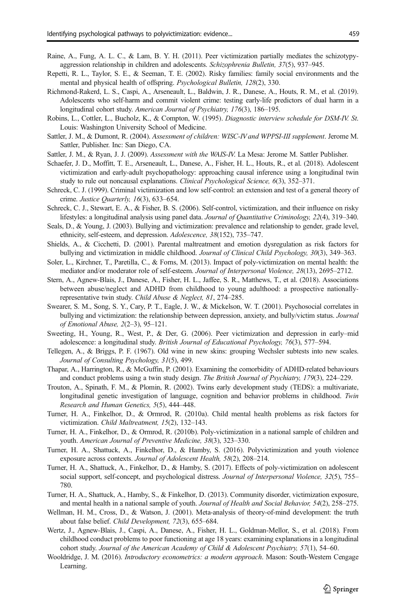- 
- <span id="page-28-0"></span>Raine, A., Fung, A. L. C., & Lam, B. Y. H. (2011). Peer victimization partially mediates the schizotypyaggression relationship in children and adolescents. Schizophrenia Bulletin, 37(5), 937–945.
- Repetti, R. L., Taylor, S. E., & Seeman, T. E. (2002). Risky families: family social environments and the mental and physical health of offspring. Psychological Bulletin, 128(2), 330.
- Richmond-Rakerd, L. S., Caspi, A., Arseneault, L., Baldwin, J. R., Danese, A., Houts, R. M., et al. (2019). Adolescents who self-harm and commit violent crime: testing early-life predictors of dual harm in a longitudinal cohort study. American Journal of Psychiatry, 176(3), 186–195.
- Robins, L., Cottler, L., Bucholz, K., & Compton, W. (1995). Diagnostic interview schedule for DSM-IV. St. Louis: Washington University School of Medicine.
- Sattler, J. M., & Dumont, R. (2004). Assessment of children: WISC-IV and WPPSI-III supplement. Jerome M. Sattler, Publisher. Inc: San Diego, CA.
- Sattler, J. M., & Ryan, J. J. (2009). Assessment with the WAIS-IV. La Mesa: Jerome M. Sattler Publisher.
- Schaefer, J. D., Moffitt, T. E., Arseneault, L., Danese, A., Fisher, H. L., Houts, R., et al. (2018). Adolescent victimization and early-adult psychopathology: approaching causal inference using a longitudinal twin study to rule out noncausal explanations. Clinical Psychological Science, 6(3), 352–371.
- Schreck, C. J. (1999). Criminal victimization and low self-control: an extension and test of a general theory of crime. Justice Quarterly, 16(3), 633–654.
- Schreck, C. J., Stewart, E. A., & Fisher, B. S. (2006). Self-control, victimization, and their influence on risky lifestyles: a longitudinal analysis using panel data. Journal of Quantitative Criminology, 22(4), 319–340.
- Seals, D., & Young, J. (2003). Bullying and victimization: prevalence and relationship to gender, grade level, ethnicity, self-esteem, and depression. Adolescence, 38(152), 735–747.
- Shields, A., & Cicchetti, D. (2001). Parental maltreatment and emotion dysregulation as risk factors for bullying and victimization in middle childhood. Journal of Clinical Child Psychology, 30(3), 349–363.
- Soler, L., Kirchner, T., Paretilla, C., & Forns, M. (2013). Impact of poly-victimization on mental health: the mediator and/or moderator role of self-esteem. Journal of Interpersonal Violence, 28(13), 2695-2712.
- Stern, A., Agnew-Blais, J., Danese, A., Fisher, H. L., Jaffee, S. R., Matthews, T., et al. (2018). Associations between abuse/neglect and ADHD from childhood to young adulthood: a prospective nationallyrepresentative twin study. Child Abuse & Neglect, 81, 274–285.
- Swearer, S. M., Song, S. Y., Cary, P. T., Eagle, J. W., & Mickelson, W. T. (2001). Psychosocial correlates in bullying and victimization: the relationship between depression, anxiety, and bully/victim status. Journal of Emotional Abuse, 2(2–3), 95–121.
- Sweeting, H., Young, R., West, P., & Der, G. (2006). Peer victimization and depression in early–mid adolescence: a longitudinal study. British Journal of Educational Psychology, 76(3), 577–594.
- Tellegen, A., & Briggs, P. F. (1967). Old wine in new skins: grouping Wechsler subtests into new scales. Journal of Consulting Psychology, 31(5), 499.
- Thapar, A., Harrington, R., & McGuffin, P. (2001). Examining the comorbidity of ADHD-related behaviours and conduct problems using a twin study design. The British Journal of Psychiatry, 179(3), 224–229.
- Trouton, A., Spinath, F. M., & Plomin, R. (2002). Twins early development study (TEDS): a multivariate, longitudinal genetic investigation of language, cognition and behavior problems in childhood. Twin Research and Human Genetics, 5(5), 444–448.
- Turner, H. A., Finkelhor, D., & Ormrod, R. (2010a). Child mental health problems as risk factors for victimization. Child Maltreatment, 15(2), 132–143.
- Turner, H. A., Finkelhor, D., & Ormrod, R. (2010b). Poly-victimization in a national sample of children and youth. American Journal of Preventive Medicine, 38(3), 323–330.
- Turner, H. A., Shattuck, A., Finkelhor, D., & Hamby, S. (2016). Polyvictimization and youth violence exposure across contexts. Journal of Adolescent Health, 58(2), 208–214.
- Turner, H. A., Shattuck, A., Finkelhor, D., & Hamby, S. (2017). Effects of poly-victimization on adolescent social support, self-concept, and psychological distress. Journal of Interpersonal Violence, 32(5), 755– 780.
- Turner, H. A., Shattuck, A., Hamby, S., & Finkelhor, D. (2013). Community disorder, victimization exposure, and mental health in a national sample of youth. Journal of Health and Social Behavior, 54(2), 258–275.
- Wellman, H. M., Cross, D., & Watson, J. (2001). Meta-analysis of theory-of-mind development: the truth about false belief. Child Development, 72(3), 655–684.
- Wertz, J., Agnew-Blais, J., Caspi, A., Danese, A., Fisher, H. L., Goldman-Mellor, S., et al. (2018). From childhood conduct problems to poor functioning at age 18 years: examining explanations in a longitudinal cohort study. Journal of the American Academy of Child & Adolescent Psychiatry, 57(1), 54–60.
- Wooldridge, J. M. (2016). Introductory econometrics: a modern approach. Mason: South-Western Cengage Learning.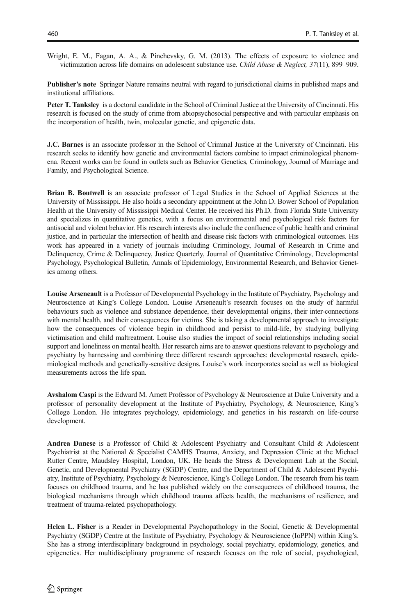Wright, E. M., Fagan, A. A., & Pinchevsky, G. M. (2013). The effects of exposure to violence and victimization across life domains on adolescent substance use. Child Abuse & Neglect, 37(11), 899–909.

Publisher's note Springer Nature remains neutral with regard to jurisdictional claims in published maps and institutional affiliations.

Peter T. Tanksley is a doctoral candidate in the School of Criminal Justice at the University of Cincinnati. His research is focused on the study of crime from abiopsychosocial perspective and with particular emphasis on the incorporation of health, twin, molecular genetic, and epigenetic data.

J.C. Barnes is an associate professor in the School of Criminal Justice at the University of Cincinnati. His research seeks to identify how genetic and environmental factors combine to impact criminological phenomena. Recent works can be found in outlets such as Behavior Genetics, Criminology, Journal of Marriage and Family, and Psychological Science.

Brian B. Boutwell is an associate professor of Legal Studies in the School of Applied Sciences at the University of Mississippi. He also holds a secondary appointment at the John D. Bower School of Population Health at the University of Mississippi Medical Center. He received his Ph.D. from Florida State University and specializes in quantitative genetics, with a focus on environmental and psychological risk factors for antisocial and violent behavior. His research interests also include the confluence of public health and criminal justice, and in particular the intersection of health and disease risk factors with criminological outcomes. His work has appeared in a variety of journals including Criminology, Journal of Research in Crime and Delinquency, Crime & Delinquency, Justice Quarterly, Journal of Quantitative Criminology, Developmental Psychology, Psychological Bulletin, Annals of Epidemiology, Environmental Research, and Behavior Genetics among others.

Louise Arseneault is a Professor of Developmental Psychology in the Institute of Psychiatry, Psychology and Neuroscience at King's College London. Louise Arseneault's research focuses on the study of harmful behaviours such as violence and substance dependence, their developmental origins, their inter-connections with mental health, and their consequences for victims. She is taking a developmental approach to investigate how the consequences of violence begin in childhood and persist to mild-life, by studying bullying victimisation and child maltreatment. Louise also studies the impact of social relationships including social support and loneliness on mental health. Her research aims are to answer questions relevant to psychology and psychiatry by harnessing and combining three different research approaches: developmental research, epidemiological methods and genetically-sensitive designs. Louise's work incorporates social as well as biological measurements across the life span.

Avshalom Caspi is the Edward M. Arnett Professor of Psychology & Neuroscience at Duke University and a professor of personality development at the Institute of Psychiatry, Psychology, & Neuroscience, King's College London. He integrates psychology, epidemiology, and genetics in his research on life-course development.

Andrea Danese is a Professor of Child & Adolescent Psychiatry and Consultant Child & Adolescent Psychiatrist at the National & Specialist CAMHS Trauma, Anxiety, and Depression Clinic at the Michael Rutter Centre, Maudsley Hospital, London, UK. He heads the Stress & Development Lab at the Social, Genetic, and Developmental Psychiatry (SGDP) Centre, and the Department of Child & Adolescent Psychiatry, Institute of Psychiatry, Psychology & Neuroscience, King's College London. The research from his team focuses on childhood trauma, and he has published widely on the consequences of childhood trauma, the biological mechanisms through which childhood trauma affects health, the mechanisms of resilience, and treatment of trauma-related psychopathology.

Helen L. Fisher is a Reader in Developmental Psychopathology in the Social, Genetic & Developmental Psychiatry (SGDP) Centre at the Institute of Psychiatry, Psychology & Neuroscience (IoPPN) within King's. She has a strong interdisciplinary background in psychology, social psychiatry, epidemiology, genetics, and epigenetics. Her multidisciplinary programme of research focuses on the role of social, psychological,